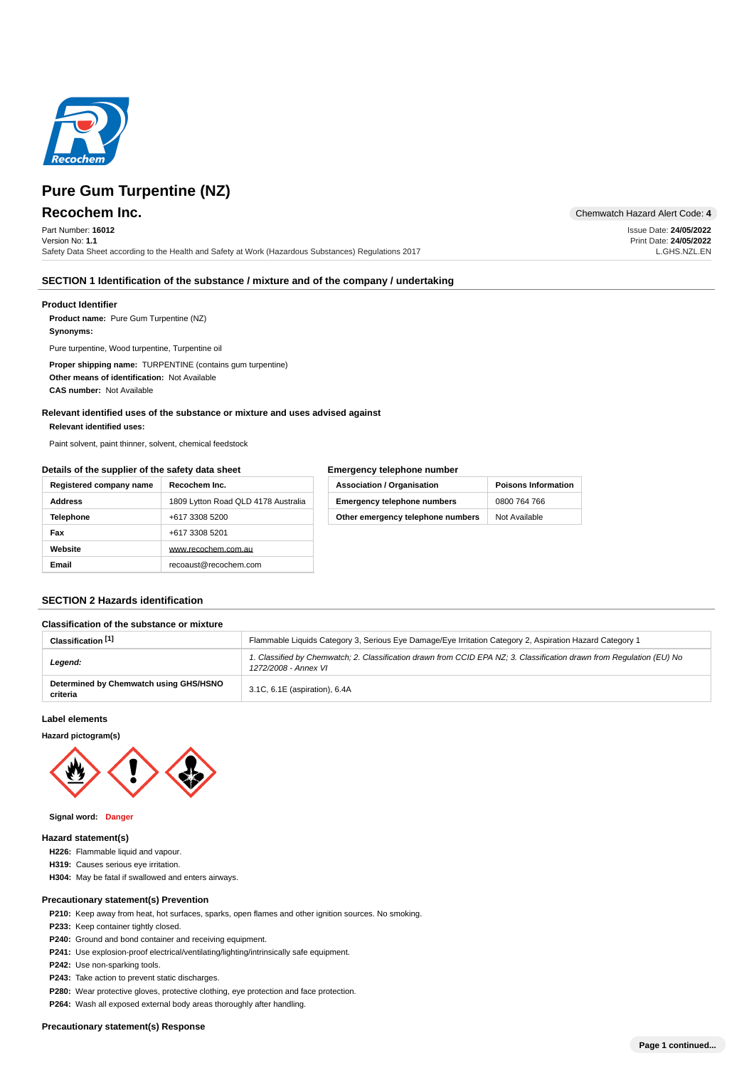

Part Number: **16012** Version No: **1.1** Safety Data Sheet according to the Health and Safety at Work (Hazardous Substances) Regulations 2017

**Recochem Inc.** Chemwatch Hazard Alert Code: 4

Issue Date: **24/05/2022** Print Date: **24/05/2022** L.GHS.NZL.EN

## **SECTION 1 Identification of the substance / mixture and of the company / undertaking**

## **Product Identifier**

**Product name:** Pure Gum Turpentine (NZ)

## **: Synonyms**

Pure turpentine, Wood turpentine, Turpentine oil

**Proper shipping name: TURPENTINE (contains gum turpentine)** Other means of identification: Not Available **CAS number: Not Available** 

## **Relevant identified uses of the substance or mixture and uses advised against**

#### **: Relevant identified uses**

Paint solvent, paint thinner, solvent, chemical feedstock

## **Details of the supplier of the safety data sheet**

## **Emergency telephone number**

| Registered company name | Recochem Inc.                       | <b>Association / Organisation</b>  | <b>Poisons Information</b> |
|-------------------------|-------------------------------------|------------------------------------|----------------------------|
| <b>Address</b>          | 1809 Lytton Road QLD 4178 Australia | <b>Emergency telephone numbers</b> | 0800 764 766               |
| <b>Telephone</b>        | +617 3308 5200                      | Other emergency telephone numbers  | Not Available              |
| Fax                     | +617 3308 5201                      |                                    |                            |
| Website                 | www.recochem.com.au                 |                                    |                            |
| Email                   | recoaust@recochem.com               |                                    |                            |

## **SECTION 2 Hazards identification**

## **Classification of the substance or mixture**

| Classification <sup>[1]</sup>                      | Flammable Liquids Category 3, Serious Eye Damage/Eye Irritation Category 2, Aspiration Hazard Category 1                                      |
|----------------------------------------------------|-----------------------------------------------------------------------------------------------------------------------------------------------|
| Legend:                                            | 1. Classified by Chemwatch; 2. Classification drawn from CCID EPA NZ; 3. Classification drawn from Requlation (EU) No<br>1272/2008 - Annex VI |
| Determined by Chemwatch using GHS/HSNO<br>criteria | 3.1C, 6.1E (aspiration), 6.4A                                                                                                                 |

## **Label elements**

**Hazard pictogram(s)**



#### **: Signal word Danger**

#### **Hazard statement(s)**

- **H226:** Flammable liquid and vapour.
- **H319:** Causes serious eye irritation.
- H304: May be fatal if swallowed and enters airways.

## **Precautionary statement(s) Prevention**

**P210:** Keep away from heat, hot surfaces, sparks, open flames and other ignition sources. No smoking.

- P233: Keep container tightly closed.
- P240: Ground and bond container and receiving equipment.
- **P241:** Use explosion-proof electrical/ventilating/lighting/intrinsically safe equipment.
- **P242:** Use non-sparking tools.
- P243: Take action to prevent static discharges.
- **P280:** Wear protective gloves, protective clothing, eye protection and face protection.
- P264: Wash all exposed external body areas thoroughly after handling.

## **Precautionary statement(s) Response**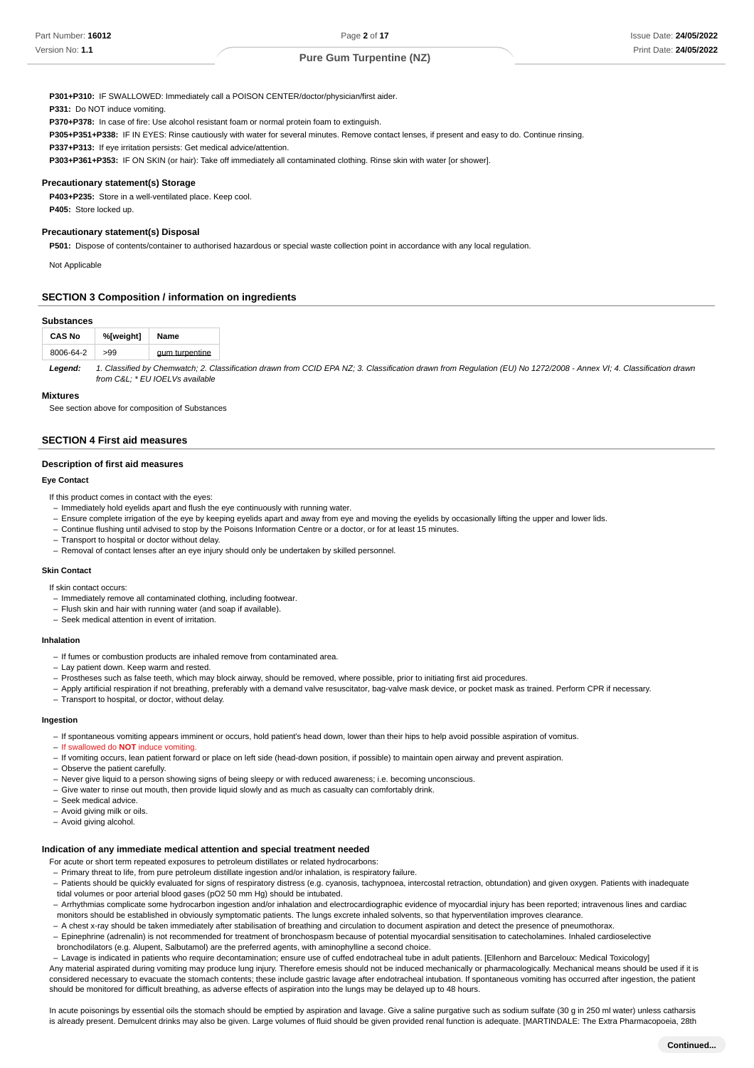**: P301+P310** IF SWALLOWED: Immediately call a POISON CENTER/doctor/physician/first aider.

**P331:** Do NOT induce vomiting.

**: P370+P378** In case of fire: Use alcohol resistant foam or normal protein foam to extinguish.

**: P305+P351+P338** IF IN EYES: Rinse cautiously with water for several minutes. Remove contact lenses, if present and easy to do. Continue rinsing.

P337+P313: If eye irritation persists: Get medical advice/attention.

**: P303+P361+P353** IF ON SKIN (or hair): Take off immediately all contaminated clothing. Rinse skin with water [or shower].

#### **Precautionary statement(s) Storage**

P403+P235: Store in a well-ventilated place. Keep cool. **P405:** Store locked up.

#### **Precautionary statement(s) Disposal**

P501: Dispose of contents/container to authorised hazardous or special waste collection point in accordance with any local regulation.

Not Applicable

## **SECTION 3 Composition / information on ingredients**

#### **Substances**

| %[weight]<br><b>CAS No</b> |     | Name           |
|----------------------------|-----|----------------|
| 8006-64-2                  | >99 | gum turpentine |

1. Classified by Chemwatch; 2. Classification drawn from CCID EPA NZ; 3. Classification drawn from Regulation (EU) No 1272/2008 - Annex VI; 4. Classification drawn from C&L; \* EU IOELVs available **Legend:**

#### **Mixtures**

See section above for composition of Substances

## **SECTION 4 First aid measures**

### **Description of first aid measures**

## **Eye Contact**

If this product comes in contact with the eyes:

- Immediately hold eyelids apart and flush the eye continuously with running water.
- Ensure complete irrigation of the eye by keeping eyelids apart and away from eye and moving the eyelids by occasionally lifting the upper and lower lids.
- Continue flushing until advised to stop by the Poisons Information Centre or a doctor, or for at least 15 minutes. –
- Transport to hospital or doctor without delay.
- Removal of contact lenses after an eye injury should only be undertaken by skilled personnel.

#### **Skin Contact**

If skin contact occurs:

- Immediately remove all contaminated clothing, including footwear.
- Flush skin and hair with running water (and soap if available).
- Seek medical attention in event of irritation.

#### **Inhalation**

- If fumes or combustion products are inhaled remove from contaminated area.
- Lay patient down. Keep warm and rested.
- Prostheses such as false teeth, which may block airway, should be removed, where possible, prior to initiating first aid procedures.
- Apply artificial respiration if not breathing, preferably with a demand valve resuscitator, bag-valve mask device, or pocket mask as trained. Perform CPR if necessary.
- Transport to hospital, or doctor, without delay.

#### **Ingestion**

- If spontaneous vomiting appears imminent or occurs, hold patient's head down, lower than their hips to help avoid possible aspiration of vomitus.
- If swallowed do **NOT** induce vomiting.
- If vomiting occurs, lean patient forward or place on left side (head-down position, if possible) to maintain open airway and prevent aspiration.
- Observe the patient carefully.
- Never give liquid to a person showing signs of being sleepy or with reduced awareness; i.e. becoming unconscious.
- Give water to rinse out mouth, then provide liquid slowly and as much as casualty can comfortably drink.
- Seek medical advice.
- Avoid giving milk or oils.
- Avoid giving alcohol.

#### **Indication of any immediate medical attention and special treatment needed**

- For acute or short term repeated exposures to petroleum distillates or related hydrocarbons:
- Primary threat to life, from pure petroleum distillate ingestion and/or inhalation, is respiratory failure.
- Patients should be quickly evaluated for signs of respiratory distress (e.g. cyanosis, tachypnoea, intercostal retraction, obtundation) and given oxygen. Patients with inadequate tidal volumes or poor arterial blood gases (pO2 50 mm Hg) should be intubated.
- Arrhythmias complicate some hydrocarbon ingestion and/or inhalation and electrocardiographic evidence of myocardial injury has been reported; intravenous lines and cardiac monitors should be established in obviously symptomatic patients. The lungs excrete inhaled solvents, so that hyperventilation improves clearance.
- A chest x-ray should be taken immediately after stabilisation of breathing and circulation to document aspiration and detect the presence of pneumothorax.
- Epinephrine (adrenalin) is not recommended for treatment of bronchospasm because of potential myocardial sensitisation to catecholamines. Inhaled cardioselective bronchodilators (e.g. Alupent, Salbutamol) are the preferred agents, with aminophylline a second choice.
- Lavage is indicated in patients who require decontamination; ensure use of cuffed endotracheal tube in adult patients. [Ellenhorn and Barceloux: Medical Toxicology]

Any material aspirated during vomiting may produce lung injury. Therefore emesis should not be induced mechanically or pharmacologically. Mechanical means should be used if it is considered necessary to evacuate the stomach contents; these include gastric lavage after endotracheal intubation. If spontaneous vomiting has occurred after ingestion, the patient should be monitored for difficult breathing, as adverse effects of aspiration into the lungs may be delayed up to 48 hours.

In acute poisonings by essential oils the stomach should be emptied by aspiration and lavage. Give a saline purgative such as sodium sulfate (30 g in 250 ml water) unless catharsis is already present. Demulcent drinks may also be given. Large volumes of fluid should be given provided renal function is adequate. [MARTINDALE: The Extra Pharmacopoeia, 28th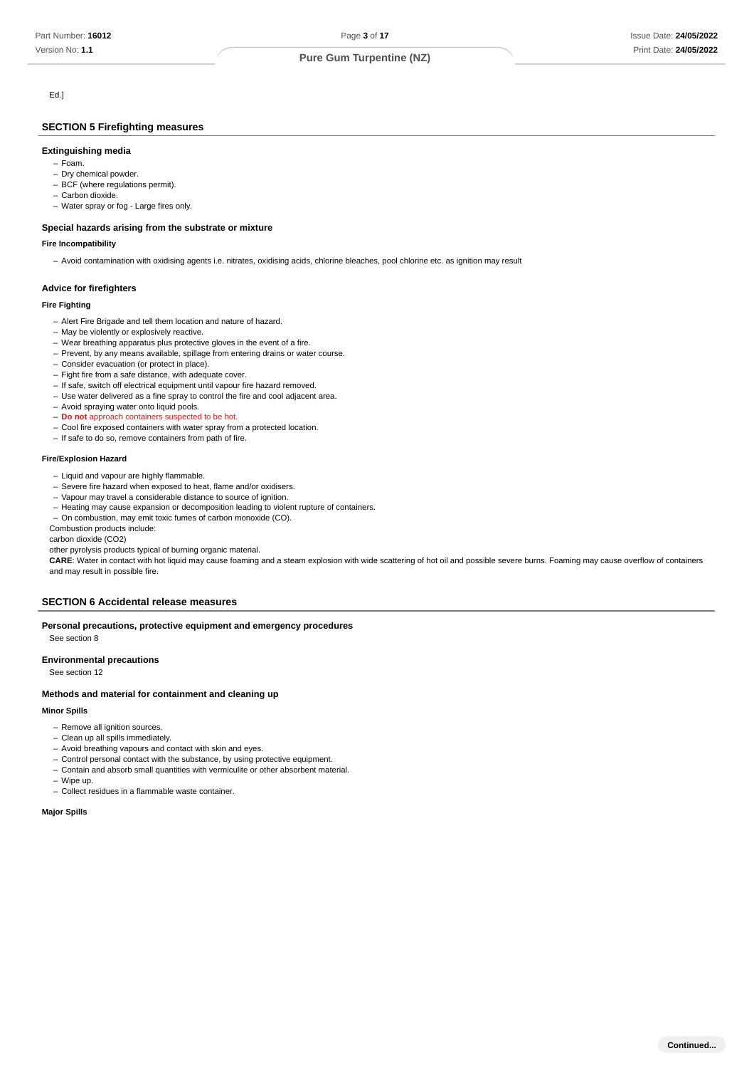## Ed.]

Version No: **1.1**

## **SECTION 5 Firefighting measures**

## **Extinguishing media**

- Foam. –
- Dry chemical powder.
- BCF (where regulations permit).
- Carbon dioxide. Water spray or fog - Large fires only. –

## **Special hazards arising from the substrate or mixture**

#### **Fire Incompatibility**

– Avoid contamination with oxidising agents i.e. nitrates, oxidising acids, chlorine bleaches, pool chlorine etc. as ignition may result

### **Advice for firefighters**

#### **Fire Fighting**

- Alert Fire Brigade and tell them location and nature of hazard.
- May be violently or explosively reactive.
- Wear breathing apparatus plus protective gloves in the event of a fire.
- Prevent, by any means available, spillage from entering drains or water course.
- Consider evacuation (or protect in place).
- Fight fire from a safe distance, with adequate cover.
- If safe, switch off electrical equipment until vapour fire hazard removed. - Use water delivered as a fine spray to control the fire and cool adjacent area.
- Avoid spraying water onto liquid pools.
- **Do not** approach containers suspected to be hot.
- Cool fire exposed containers with water spray from a protected location.
- If safe to do so, remove containers from path of fire.

#### **Fire/Explosion Hazard**

- Liquid and vapour are highly flammable.
- Severe fire hazard when exposed to heat, flame and/or oxidisers.
- Vapour may travel a considerable distance to source of ignition.
- Heating may cause expansion or decomposition leading to violent rupture of containers.
- On combustion, may emit toxic fumes of carbon monoxide (CO).

Combustion products include: carbon dioxide (CO2)

other pyrolysis products typical of burning organic material.

**CARE**: Water in contact with hot liquid may cause foaming and a steam explosion with wide scattering of hot oil and possible severe burns. Foaming may cause overflow of containers and may result in possible fire.

## **SECTION 6 Accidental release measures**

#### **Personal precautions, protective equipment and emergency procedures** See section 8

#### **Environmental precautions**

See section 12

## **Methods and material for containment and cleaning up**

#### **Minor Spills**

- Remove all ignition sources.
- Clean up all spills immediately.
- Avoid breathing vapours and contact with skin and eyes.
- Control personal contact with the substance, by using protective equipment.
- Contain and absorb small quantities with vermiculite or other absorbent material.
- Wipe up. –
- Collect residues in a flammable waste container.

## **Major Spills**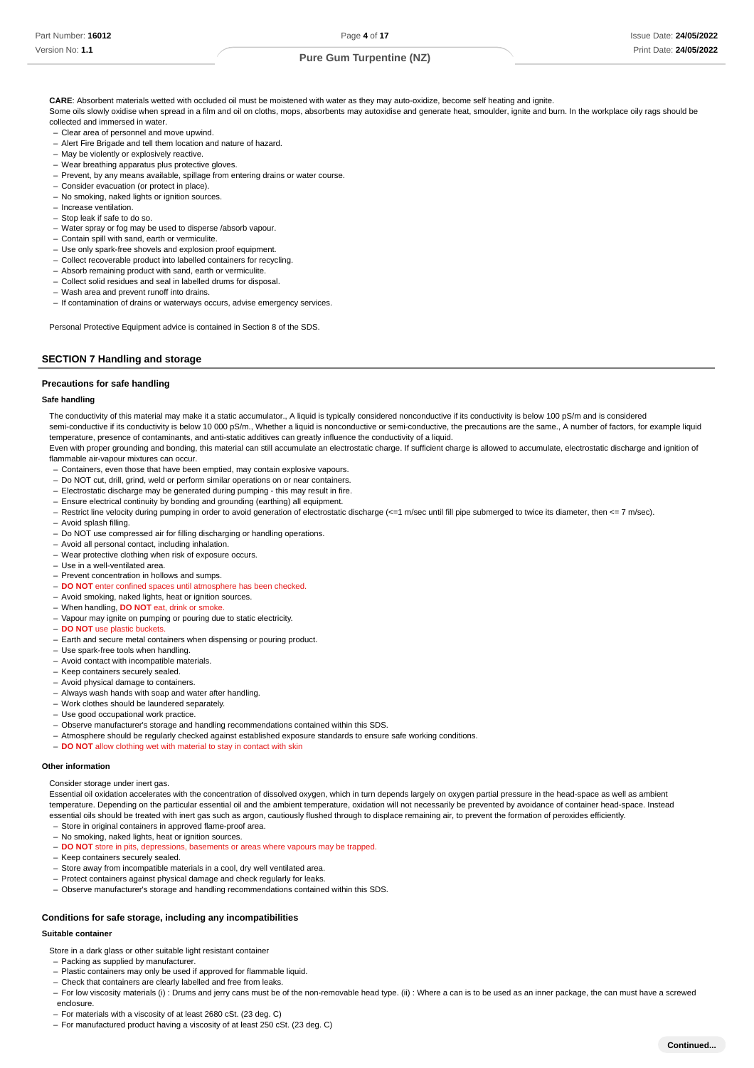**CARE**: Absorbent materials wetted with occluded oil must be moistened with water as they may auto-oxidize, become self heating and ignite. Some oils slowly oxidise when spread in a film and oil on cloths, mops, absorbents may autoxidise and generate heat, smoulder, ignite and burn. In the workplace oily rags should be collected and immersed in water.

- Clear area of personnel and move upwind. –
- Alert Fire Brigade and tell them location and nature of hazard.
- May be violently or explosively reactive.
- Wear breathing apparatus plus protective gloves. –
- Prevent, by any means available, spillage from entering drains or water course.
- Consider evacuation (or protect in place).
- No smoking, naked lights or ignition sources.
- Increase ventilation.
- Stop leak if safe to do so.
- Water spray or fog may be used to disperse /absorb vapour.
- Contain spill with sand, earth or vermiculite.
- Use only spark-free shovels and explosion proof equipment.
- Collect recoverable product into labelled containers for recycling.
- Absorb remaining product with sand, earth or vermiculite.
- Collect solid residues and seal in labelled drums for disposal.
- Wash area and prevent runoff into drains. –
- If contamination of drains or waterways occurs, advise emergency services.

Personal Protective Equipment advice is contained in Section 8 of the SDS.

## **SECTION 7 Handling and storage**

#### **Precautions for safe handling**

#### **Safe handling**

The conductivity of this material may make it a static accumulator., A liquid is typically considered nonconductive if its conductivity is below 100 pS/m and is considered semi-conductive if its conductivity is below 10 000 pS/m., Whether a liquid is nonconductive or semi-conductive, the precautions are the same., A number of factors, for example liquid

temperature, presence of contaminants, and anti-static additives can greatly influence the conductivity of a liquid.

Even with proper grounding and bonding, this material can still accumulate an electrostatic charge. If sufficient charge is allowed to accumulate, electrostatic discharge and ignition of flammable air-vapour mixtures can occur.

- Containers, even those that have been emptied, may contain explosive vapours. –
- Do NOT cut, drill, grind, weld or perform similar operations on or near containers. –
- Electrostatic discharge may be generated during pumping this may result in fire.
- Ensure electrical continuity by bonding and grounding (earthing) all equipment.
- Restrict line velocity during pumping in order to avoid generation of electrostatic discharge (<=1 m/sec until fill pipe submerged to twice its diameter, then <= 7 m/sec).
- Avoid splash filling.
- Do NOT use compressed air for filling discharging or handling operations.
- Avoid all personal contact, including inhalation.
- Wear protective clothing when risk of exposure occurs.
- Use in a well-ventilated area. –
- Prevent concentration in hollows and sumps.
- **DO NOT** enter confined spaces until atmosphere has been checked.
- Avoid smoking, naked lights, heat or ignition sources.
- When handling, **DO NOT** eat, drink or smoke. –
- Vapour may ignite on pumping or pouring due to static electricity.
- **DO NOT** use plastic buckets.
- Earth and secure metal containers when dispensing or pouring product.
- Use spark-free tools when handling.
- Avoid contact with incompatible materials.
- Keep containers securely sealed.
- Avoid physical damage to containers.
- Always wash hands with soap and water after handling.
- Work clothes should be laundered separately.
- Use good occupational work practice.
- Observe manufacturer's storage and handling recommendations contained within this SDS.
- Atmosphere should be regularly checked against established exposure standards to ensure safe working conditions. –
- **DO NOT** allow clothing wet with material to stay in contact with skin

#### **Other information**

Consider storage under inert gas.

Essential oil oxidation accelerates with the concentration of dissolved oxygen, which in turn depends largely on oxygen partial pressure in the head-space as well as ambient temperature. Depending on the particular essential oil and the ambient temperature, oxidation will not necessarily be prevented by avoidance of container head-space. Instead essential oils should be treated with inert gas such as argon, cautiously flushed through to displace remaining air, to prevent the formation of peroxides efficiently.

- Store in original containers in approved flame-proof area.
- No smoking, naked lights, heat or ignition sources.
- **DO NOT** store in pits, depressions, basements or areas where vapours may be trapped.
- Keep containers securely sealed.
- Store away from incompatible materials in a cool, dry well ventilated area.
- Protect containers against physical damage and check regularly for leaks.
- Observe manufacturer's storage and handling recommendations contained within this SDS.

#### **Conditions for safe storage, including any incompatibilities**

#### **Suitable container**

Store in a dark glass or other suitable light resistant container

- Packing as supplied by manufacturer.
- Plastic containers may only be used if approved for flammable liquid.
- Check that containers are clearly labelled and free from leaks. –
- For low viscosity materials (i): Drums and jerry cans must be of the non-removable head type. (ii): Where a can is to be used as an inner package, the can must have a screwed enclosure.
- For materials with a viscosity of at least 2680 cSt. (23 deg. C)
- For manufactured product having a viscosity of at least 250 cSt. (23 deg. C)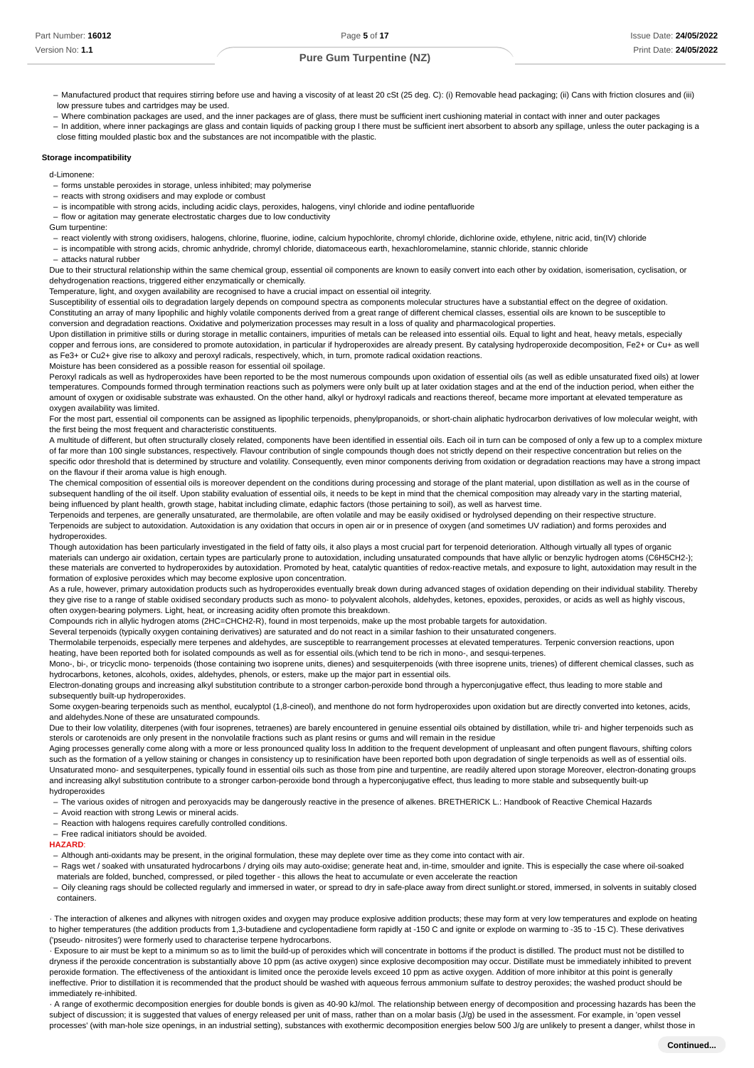- Manufactured product that requires stirring before use and having a viscosity of at least 20 cSt (25 deg. C): (i) Removable head packaging; (ii) Cans with friction closures and (iii) low pressure tubes and cartridges may be used.
- Where combination packages are used, and the inner packages are of glass, there must be sufficient inert cushioning material in contact with inner and outer packages –
- In addition, where inner packagings are glass and contain liquids of packing group I there must be sufficient inert absorbent to absorb any spillage, unless the outer packaging is a close fitting moulded plastic box and the substances are not incompatible with the plastic.

## **Storage incompatibility**

- d-Limonene:
- forms unstable peroxides in storage, unless inhibited; may polymerise
- reacts with strong oxidisers and may explode or combust
- is incompatible with strong acids, including acidic clays, peroxides, halogens, vinyl chloride and iodine pentafluoride –
- flow or agitation may generate electrostatic charges due to low conductivity
- Gum turpentine:

- react violently with strong oxidisers, halogens, chlorine, fluorine, iodine, calcium hypochlorite, chromyl chloride, dichlorine oxide, ethylene, nitric acid, tin(IV) chloride

- is incompatible with strong acids, chromic anhydride, chromyl chloride, diatomaceous earth, hexachloromelamine, stannic chloride, stannic chloride

- attacks natural rubber

Due to their structural relationship within the same chemical group, essential oil components are known to easily convert into each other by oxidation, isomerisation, cyclisation, or dehydrogenation reactions, triggered either enzymatically or chemically.

Temperature, light, and oxygen availability are recognised to have a crucial impact on essential oil integrity.

Susceptibility of essential oils to degradation largely depends on compound spectra as components molecular structures have a substantial effect on the degree of oxidation. Constituting an array of many lipophilic and highly volatile components derived from a great range of different chemical classes, essential oils are known to be susceptible to conversion and degradation reactions. Oxidative and polymerization processes may result in a loss of quality and pharmacological properties.

Upon distillation in primitive stills or during storage in metallic containers, impurities of metals can be released into essential oils. Equal to light and heat, heavy metals, especially copper and ferrous ions, are considered to promote autoxidation, in particular if hydroperoxides are already present. By catalysing hydroperoxide decomposition, Fe2+ or Cu+ as well as Fe3+ or Cu2+ give rise to alkoxy and peroxyl radicals, respectively, which, in turn, promote radical oxidation reactions.

Moisture has been considered as a possible reason for essential oil spoilage.

Peroxyl radicals as well as hydroperoxides have been reported to be the most numerous compounds upon oxidation of essential oils (as well as edible unsaturated fixed oils) at lower temperatures. Compounds formed through termination reactions such as polymers were only built up at later oxidation stages and at the end of the induction period, when either the amount of oxygen or oxidisable substrate was exhausted. On the other hand, alkyl or hydroxyl radicals and reactions thereof, became more important at elevated temperature as oxygen availability was limited.

For the most part, essential oil components can be assigned as lipophilic terpenoids, phenylpropanoids, or short-chain aliphatic hydrocarbon derivatives of low molecular weight, with the first being the most frequent and characteristic constituents.

A multitude of different, but often structurally closely related, components have been identified in essential oils. Each oil in turn can be composed of only a few up to a complex mixture of far more than 100 single substances, respectively. Flavour contribution of single compounds though does not strictly depend on their respective concentration but relies on the specific odor threshold that is determined by structure and volatility. Consequently, even minor components deriving from oxidation or degradation reactions may have a strong impact on the flavour if their aroma value is high enough.

The chemical composition of essential oils is moreover dependent on the conditions during processing and storage of the plant material, upon distillation as well as in the course of subsequent handling of the oil itself. Upon stability evaluation of essential oils, it needs to be kept in mind that the chemical composition may already vary in the starting material, being influenced by plant health, growth stage, habitat including climate, edaphic factors (those pertaining to soil), as well as harvest time.

Terpenoids and terpenes, are generally unsaturated, are thermolabile, are often volatile and may be easily oxidised or hydrolysed depending on their respective structure. Terpenoids are subject to autoxidation. Autoxidation is any oxidation that occurs in open air or in presence of oxygen (and sometimes UV radiation) and forms peroxides and hydroperoxides.

Though autoxidation has been particularly investigated in the field of fatty oils, it also plays a most crucial part for terpenoid deterioration. Although virtually all types of organic materials can undergo air oxidation, certain types are particularly prone to autoxidation, including unsaturated compounds that have allylic or benzylic hydrogen atoms (C6H5CH2-); these materials are converted to hydroperoxides by autoxidation. Promoted by heat, catalytic quantities of redox-reactive metals, and exposure to light, autoxidation may result in the formation of explosive peroxides which may become explosive upon concentration.

As a rule, however, primary autoxidation products such as hydroperoxides eventually break down during advanced stages of oxidation depending on their individual stability. Thereby they give rise to a range of stable oxidised secondary products such as mono- to polyvalent alcohols, aldehydes, ketones, epoxides, peroxides, or acids as well as highly viscous, often oxygen-bearing polymers. Light, heat, or increasing acidity often promote this breakdown.

Compounds rich in allylic hydrogen atoms (2HC=CHCH2-R), found in most terpenoids, make up the most probable targets for autoxidation.

Several terpenoids (typically oxygen containing derivatives) are saturated and do not react in a similar fashion to their unsaturated congeners.

Thermolabile terpenoids, especially mere terpenes and aldehydes, are susceptible to rearrangement processes at elevated temperatures. Terpenic conversion reactions, upon heating, have been reported both for isolated compounds as well as for essential oils.(which tend to be rich in mono-, and sesqui-terpenes.

Mono-, bi-, or tricyclic mono- terpenoids (those containing two isoprene units, dienes) and sesquiterpenoids (with three isoprene units, trienes) of different chemical classes, such as hydrocarbons, ketones, alcohols, oxides, aldehydes, phenols, or esters, make up the major part in essential oils.

Electron-donating groups and increasing alkyl substitution contribute to a stronger carbon-peroxide bond through a hyperconjugative effect, thus leading to more stable and subsequently built-up hydroperoxides.

Some oxygen-bearing terpenoids such as menthol, eucalyptol (1,8-cineol), and menthone do not form hydroperoxides upon oxidation but are directly converted into ketones, acids, and aldehydes.None of these are unsaturated compounds.

Due to their low volatility, diterpenes (with four isoprenes, tetraenes) are barely encountered in genuine essential oils obtained by distillation, while tri- and higher terpenoids such as sterols or carotenoids are only present in the nonvolatile fractions such as plant resins or gums and will remain in the residue

Aging processes generally come along with a more or less pronounced quality loss In addition to the frequent development of unpleasant and often pungent flavours, shifting colors such as the formation of a yellow staining or changes in consistency up to resinification have been reported both upon degradation of single terpenoids as well as of essential oils. Unsaturated mono- and sesquiterpenes, typically found in essential oils such as those from pine and turpentine, are readily altered upon storage Moreover, electron-donating groups and increasing alkyl substitution contribute to a stronger carbon-peroxide bond through a hyperconjugative effect, thus leading to more stable and subsequently built-up hydroperoxides

– The various oxides of nitrogen and peroxyacids may be dangerously reactive in the presence of alkenes. BRETHERICK L.: Handbook of Reactive Chemical Hazards

- Avoid reaction with strong Lewis or mineral acids.

- Reaction with halogens requires carefully controlled conditions.

Free radical initiators should be avoided. –

**HAZARD**:

- Although anti-oxidants may be present, in the original formulation, these may deplete over time as they come into contact with air.

- Rags wet / soaked with unsaturated hydrocarbons / drying oils may auto-oxidise; generate heat and, in-time, smoulder and ignite. This is especially the case where oil-soaked materials are folded, bunched, compressed, or piled together - this allows the heat to accumulate or even accelerate the reaction

- Oily cleaning rags should be collected regularly and immersed in water, or spread to dry in safe-place away from direct sunlight.or stored, immersed, in solvents in suitably closed containers.

· The interaction of alkenes and alkynes with nitrogen oxides and oxygen may produce explosive addition products; these may form at very low temperatures and explode on heating to higher temperatures (the addition products from 1.3-butadiene and cyclopentadiene form rapidly at -150 C and ignite or explode on warming to -35 to -15 C). These derivatives ('pseudo- nitrosites') were formerly used to characterise terpene hydrocarbons.

· Exposure to air must be kept to a minimum so as to limit the build-up of peroxides which will concentrate in bottoms if the product is distilled. The product must not be distilled to dryness if the peroxide concentration is substantially above 10 ppm (as active oxygen) since explosive decomposition may occur. Distillate must be immediately inhibited to prevent peroxide formation. The effectiveness of the antioxidant is limited once the peroxide levels exceed 10 ppm as active oxygen. Addition of more inhibitor at this point is generally ineffective. Prior to distillation it is recommended that the product should be washed with aqueous ferrous ammonium sulfate to destroy peroxides; the washed product should be immediately re-inhibited.

· A range of exothermic decomposition energies for double bonds is given as 40-90 kJ/mol. The relationship between energy of decomposition and processing hazards has been the subject of discussion; it is suggested that values of energy released per unit of mass, rather than on a molar basis (J/g) be used in the assessment. For example, in 'open vessel processes' (with man-hole size openings, in an industrial setting), substances with exothermic decomposition energies below 500 J/g are unlikely to present a danger, whilst those in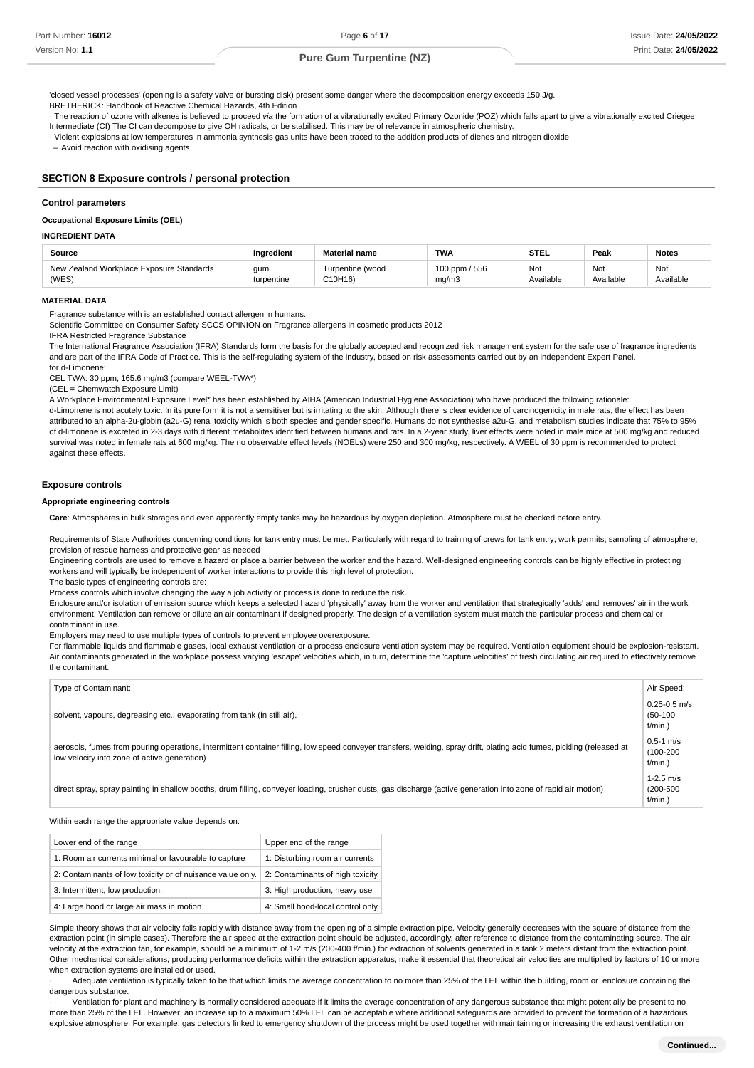'closed vessel processes' (opening is a safety valve or bursting disk) present some danger where the decomposition energy exceeds 150 J/g.

BRETHERICK: Handbook of Reactive Chemical Hazards, 4th Edition

· The reaction of ozone with alkenes is believed to proceed via the formation of a vibrationally excited Primary Ozonide (POZ) which falls apart to give a vibrationally excited Criegee Intermediate (CI) The CI can decompose to give OH radicals, or be stabilised. This may be of relevance in atmospheric chemistry.

· Violent explosions at low temperatures in ammonia synthesis gas units have been traced to the addition products of dienes and nitrogen dioxide

– Avoid reaction with oxidising agents

### **SECTION 8 Exposure controls / personal protection**

#### **Control parameters**

**Occupational Exposure Limits (OEL)**

## **INGREDIENT DATA**

| Source                                   | Inaredient | <b>Material name</b> | <b>TWA</b>    | <b>STEL</b> | Peak      | <b>Notes</b> |
|------------------------------------------|------------|----------------------|---------------|-------------|-----------|--------------|
| New Zealand Workplace Exposure Standards | gum        | Turpentine (wood     | 100 ppm / 556 | Not         | Not       | Not          |
| (WES)                                    | turpentine | C10H16)              | mg/m3         | Available   | Available | Available    |

## **MATERIAL DATA**

Fragrance substance with is an established contact allergen in humans.

Scientific Committee on Consumer Safety SCCS OPINION on Fragrance allergens in cosmetic products 2012

IFRA Restricted Fragrance Substance

The International Fragrance Association (IFRA) Standards form the basis for the globally accepted and recognized risk management system for the safe use of fragrance ingredients and are part of the IFRA Code of Practice. This is the self-regulating system of the industry, based on risk assessments carried out by an independent Expert Panel. for d-Limonene:

CEL TWA: 30 ppm, 165.6 mg/m3 (compare WEEL-TWA\*)

(CEL = Chemwatch Exposure Limit)

A Workplace Environmental Exposure Level\* has been established by AIHA (American Industrial Hygiene Association) who have produced the following rationale:

d-Limonene is not acutely toxic. In its pure form it is not a sensitiser but is irritating to the skin. Although there is clear evidence of carcinogenicity in male rats, the effect has been attributed to an alpha-2u-globin (a2u-G) renal toxicity which is both species and gender specific. Humans do not synthesise a2u-G, and metabolism studies indicate that 75% to 95% of d-limonene is excreted in 2-3 days with different metabolites identified between humans and rats. In a 2-year study, liver effects were noted in male mice at 500 mg/kg and reduced survival was noted in female rats at 600 mg/kg. The no observable effect levels (NOELs) were 250 and 300 mg/kg, respectively. A WEEL of 30 ppm is recommended to protect against these effects.

#### **Exposure controls**

#### **Appropriate engineering controls**

**Care**: Atmospheres in bulk storages and even apparently empty tanks may be hazardous by oxygen depletion. Atmosphere must be checked before entry.

Requirements of State Authorities concerning conditions for tank entry must be met. Particularly with regard to training of crews for tank entry; work permits; sampling of atmosphere; provision of rescue harness and protective gear as needed

Engineering controls are used to remove a hazard or place a barrier between the worker and the hazard. Well-designed engineering controls can be highly effective in protecting workers and will typically be independent of worker interactions to provide this high level of protection.

The basic types of engineering controls are:

Process controls which involve changing the way a job activity or process is done to reduce the risk.

Enclosure and/or isolation of emission source which keeps a selected hazard 'physically' away from the worker and ventilation that strategically 'adds' and 'removes' air in the work environment. Ventilation can remove or dilute an air contaminant if designed properly. The design of a ventilation system must match the particular process and chemical or contaminant in use.

Employers may need to use multiple types of controls to prevent employee overexposure.

For flammable liquids and flammable gases, local exhaust ventilation or a process enclosure ventilation system may be required. Ventilation equipment should be explosion-resistant. Air contaminants generated in the workplace possess varying 'escape' velocities which, in turn, determine the 'capture velocities' of fresh circulating air required to effectively remove the contaminant.

| Type of Contaminant:                                                                                                                                                                                                   | Air Speed:                                   |
|------------------------------------------------------------------------------------------------------------------------------------------------------------------------------------------------------------------------|----------------------------------------------|
| solvent, vapours, degreasing etc., evaporating from tank (in still air).                                                                                                                                               | $0.25 - 0.5$ m/s<br>$(50-100)$<br>$f/min.$ ) |
| aerosols, fumes from pouring operations, intermittent container filling, low speed conveyer transfers, welding, spray drift, plating acid fumes, pickling (released at<br>low velocity into zone of active generation) | $0.5 - 1$ m/s<br>$(100 - 200)$<br>$f/min.$ ) |
| direct spray, spray painting in shallow booths, drum filling, conveyer loading, crusher dusts, gas discharge (active generation into zone of rapid air motion)                                                         | $1-2.5$ m/s<br>$(200 - 500)$<br>$f/min.$ )   |

Within each range the appropriate value depends on:

| Lower end of the range                                     | Upper end of the range           |
|------------------------------------------------------------|----------------------------------|
| 1: Room air currents minimal or favourable to capture      | 1: Disturbing room air currents  |
| 2: Contaminants of low toxicity or of nuisance value only. | 2: Contaminants of high toxicity |
| 3: Intermittent, low production.                           | 3: High production, heavy use    |
| 4: Large hood or large air mass in motion                  | 4: Small hood-local control only |

Simple theory shows that air velocity falls rapidly with distance away from the opening of a simple extraction pipe. Velocity generally decreases with the square of distance from the extraction point (in simple cases). Therefore the air speed at the extraction point should be adjusted, accordingly, after reference to distance from the contaminating source. The air velocity at the extraction fan, for example, should be a minimum of 1-2 m/s (200-400 f/min.) for extraction of solvents generated in a tank 2 meters distant from the extraction point. Other mechanical considerations, producing performance deficits within the extraction apparatus, make it essential that theoretical air velocities are multiplied by factors of 10 or more when extraction systems are installed or used.

Adequate ventilation is typically taken to be that which limits the average concentration to no more than 25% of the LEL within the building, room or enclosure containing the dangerous substance.

· Ventilation for plant and machinery is normally considered adequate if it limits the average concentration of any dangerous substance that might potentially be present to no more than 25% of the LEL. However, an increase up to a maximum 50% LEL can be acceptable where additional safeguards are provided to prevent the formation of a hazardous explosive atmosphere. For example, gas detectors linked to emergency shutdown of the process might be used together with maintaining or increasing the exhaust ventilation on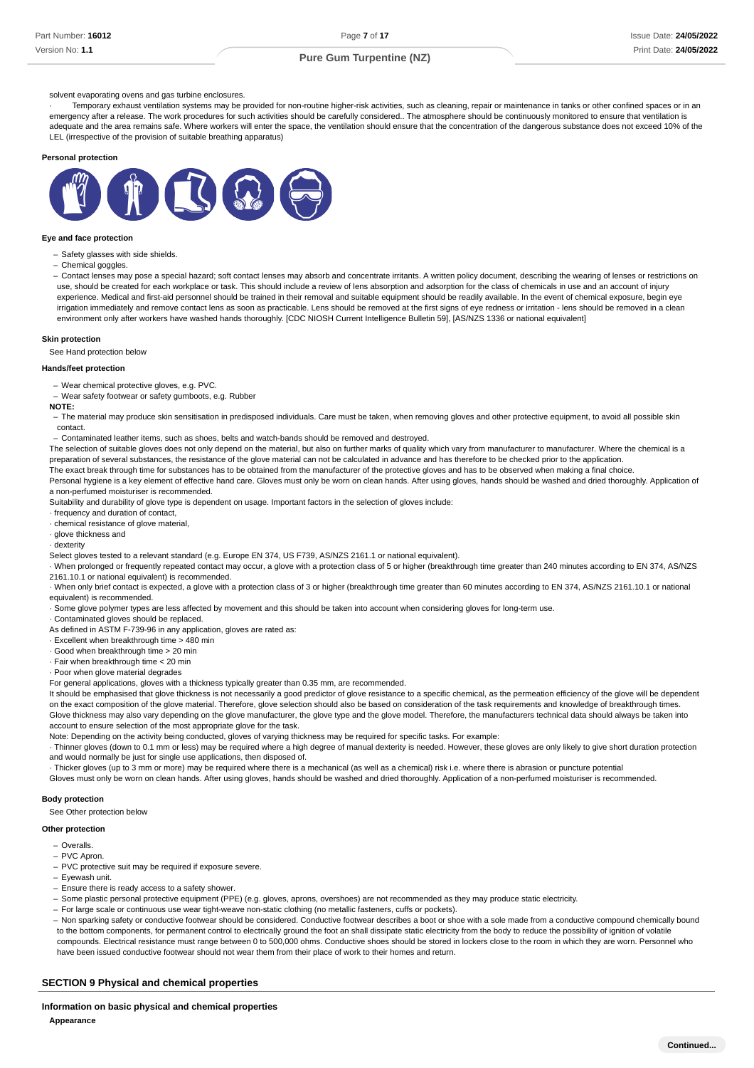#### solvent evaporating ovens and gas turbine enclosures.

Temporary exhaust ventilation systems may be provided for non-routine higher-risk activities, such as cleaning, repair or maintenance in tanks or other confined spaces or in an emergency after a release. The work procedures for such activities should be carefully considered.. The atmosphere should be continuously monitored to ensure that ventilation is adequate and the area remains safe. Where workers will enter the space, the ventilation should ensure that the concentration of the dangerous substance does not exceed 10% of the LEL (irrespective of the provision of suitable breathing apparatus)

#### **Personal protection**



#### **Eye and face protection**

- Safety glasses with side shields.

Chemical goggles. –

- Contact lenses may pose a special hazard; soft contact lenses may absorb and concentrate irritants. A written policy document, describing the wearing of lenses or restrictions on use, should be created for each workplace or task. This should include a review of lens absorption and adsorption for the class of chemicals in use and an account of injury experience. Medical and first-aid personnel should be trained in their removal and suitable equipment should be readily available. In the event of chemical exposure, begin eve irrigation immediately and remove contact lens as soon as practicable. Lens should be removed at the first signs of eye redness or irritation - lens should be removed in a clean environment only after workers have washed hands thoroughly. [CDC NIOSH Current Intelligence Bulletin 59], [AS/NZS 1336 or national equivalent]

#### **Skin protection**

See Hand protection below

#### **Hands/feet protection**

- Wear chemical protective gloves, e.g. PVC.

- Wear safety footwear or safety gumboots, e.g. Rubber

#### **NOTE:**

- The material may produce skin sensitisation in predisposed individuals. Care must be taken, when removing gloves and other protective equipment, to avoid all possible skin contact.

Contaminated leather items, such as shoes, belts and watch-bands should be removed and destroyed. –

The selection of suitable gloves does not only depend on the material, but also on further marks of quality which vary from manufacturer to manufacturer. Where the chemical is a preparation of several substances, the resistance of the glove material can not be calculated in advance and has therefore to be checked prior to the application. The exact break through time for substances has to be obtained from the manufacturer of the protective gloves and has to be observed when making a final choice.

Personal hygiene is a key element of effective hand care. Gloves must only be worn on clean hands. After using gloves, hands should be washed and dried thoroughly. Application of a non-perfumed moisturiser is recommended.

Suitability and durability of glove type is dependent on usage. Important factors in the selection of gloves include:

· frequency and duration of contact,

· chemical resistance of glove material,

· glove thickness and

· dexterity

Select gloves tested to a relevant standard (e.g. Europe EN 374, US F739, AS/NZS 2161.1 or national equivalent).

· When prolonged or frequently repeated contact may occur, a glove with a protection class of 5 or higher (breakthrough time greater than 240 minutes according to EN 374, AS/NZS 2161.10.1 or national equivalent) is recommended.

· When only brief contact is expected, a glove with a protection class of 3 or higher (breakthrough time greater than 60 minutes according to EN 374, AS/NZS 2161.10.1 or national equivalent) is recommended.

· Some glove polymer types are less affected by movement and this should be taken into account when considering gloves for long-term use.

· Contaminated gloves should be replaced.

As defined in ASTM F-739-96 in any application, gloves are rated as:

- · Excellent when breakthrough time > 480 min
- · Good when breakthrough time > 20 min
- · Fair when breakthrough time < 20 min
- · Poor when glove material degrades

For general applications, gloves with a thickness typically greater than 0.35 mm, are recommended.

It should be emphasised that glove thickness is not necessarily a good predictor of glove resistance to a specific chemical, as the permeation efficiency of the glove will be dependent on the exact composition of the glove material. Therefore, glove selection should also be based on consideration of the task requirements and knowledge of breakthrough times. Glove thickness may also vary depending on the glove manufacturer, the glove type and the glove model. Therefore, the manufacturers technical data should always be taken into account to ensure selection of the most appropriate glove for the task.

Note: Depending on the activity being conducted, gloves of varying thickness may be required for specific tasks. For example:

· Thinner gloves (down to 0.1 mm or less) may be required where a high degree of manual dexterity is needed. However, these gloves are only likely to give short duration protection and would normally be just for single use applications, then disposed of.

· Thicker gloves (up to 3 mm or more) may be required where there is a mechanical (as well as a chemical) risk i.e. where there is abrasion or puncture potential

Gloves must only be worn on clean hands. After using gloves, hands should be washed and dried thoroughly. Application of a non-perfumed moisturiser is recommended.

## **Body protection**

See Other protection below

#### **Other protection**

- Overalls. –
- PVC Apron. –
- PVC protective suit may be required if exposure severe.
- Eyewash unit.
- Ensure there is ready access to a safety shower.
- Some plastic personal protective equipment (PPE) (e.g. gloves, aprons, overshoes) are not recommended as they may produce static electricity.
- For large scale or continuous use wear tight-weave non-static clothing (no metallic fasteners, cuffs or pockets).

- Non sparking safety or conductive footwear should be considered. Conductive footwear describes a boot or shoe with a sole made from a conductive compound chemically bound

to the bottom components, for permanent control to electrically ground the foot an shall dissipate static electricity from the body to reduce the possibility of ignition of volatile compounds. Electrical resistance must range between 0 to 500,000 ohms. Conductive shoes should be stored in lockers close to the room in which they are worn. Personnel who have been issued conductive footwear should not wear them from their place of work to their homes and return.

#### **SECTION 9 Physical and chemical properties**

**Information on basic physical and chemical properties Appearance**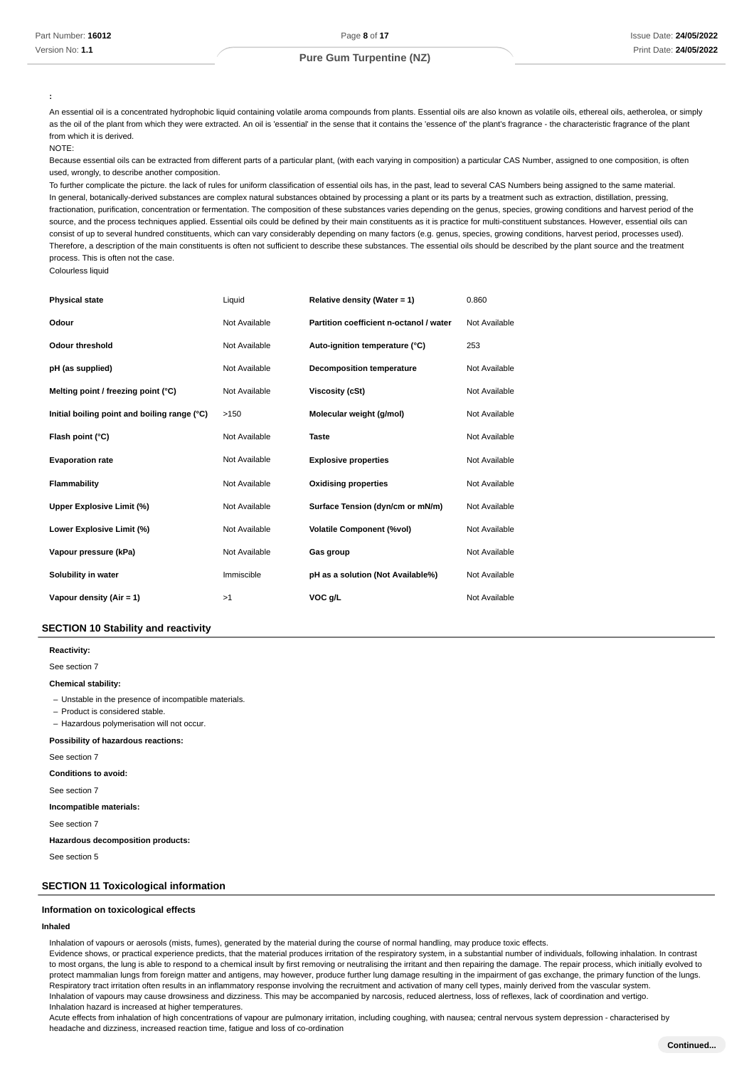**:**

An essential oil is a concentrated hydrophobic liquid containing volatile aroma compounds from plants. Essential oils are also known as volatile oils, ethereal oils, aetherolea, or simply as the oil of the plant from which they were extracted. An oil is 'essential' in the sense that it contains the 'essence of' the plant's fragrance - the characteristic fragrance of the plant from which it is derived.  $N$ OTE:

Because essential oils can be extracted from different parts of a particular plant, (with each varying in composition) a particular CAS Number, assigned to one composition, is often used, wrongly, to describe another composition.

To further complicate the picture. the lack of rules for uniform classification of essential oils has, in the past, lead to several CAS Numbers being assigned to the same material. In general, botanically-derived substances are complex natural substances obtained by processing a plant or its parts by a treatment such as extraction, distillation, pressing, fractionation, purification, concentration or fermentation. The composition of these substances varies depending on the genus, species, growing conditions and harvest period of the source, and the process techniques applied. Essential oils could be defined by their main constituents as it is practice for multi-constituent substances. However, essential oils can consist of up to several hundred constituents, which can vary considerably depending on many factors (e.g. genus, species, growing conditions, harvest period, processes used). Therefore, a description of the main constituents is often not sufficient to describe these substances. The essential oils should be described by the plant source and the treatment process. This is often not the case.

Colourless liquid

| <b>Physical state</b>                        | Liquid        | Relative density (Water = 1)            | 0.860         |
|----------------------------------------------|---------------|-----------------------------------------|---------------|
| Odour                                        | Not Available | Partition coefficient n-octanol / water | Not Available |
| Odour threshold                              | Not Available | Auto-ignition temperature (°C)          | 253           |
| pH (as supplied)                             | Not Available | <b>Decomposition temperature</b>        | Not Available |
| Melting point / freezing point (°C)          | Not Available | <b>Viscosity (cSt)</b>                  | Not Available |
| Initial boiling point and boiling range (°C) | >150          | Molecular weight (g/mol)                | Not Available |
| Flash point (°C)                             | Not Available | <b>Taste</b>                            | Not Available |
| <b>Evaporation rate</b>                      | Not Available | <b>Explosive properties</b>             | Not Available |
| Flammability                                 | Not Available | <b>Oxidising properties</b>             | Not Available |
| Upper Explosive Limit (%)                    | Not Available | Surface Tension (dyn/cm or mN/m)        | Not Available |
| Lower Explosive Limit (%)                    | Not Available | <b>Volatile Component (%vol)</b>        | Not Available |
| Vapour pressure (kPa)                        | Not Available | Gas group                               | Not Available |
| Solubility in water                          | Immiscible    | pH as a solution (Not Available%)       | Not Available |
| Vapour density (Air = 1)                     | >1            | VOC g/L                                 | Not Available |

## **SECTION 10 Stability and reactivity**

**: Reactivity**

See section 7

#### **: Chemical stability**

- Unstable in the presence of incompatible materials.

- Product is considered stable.

- Hazardous polymerisation will not occur.

#### **: Possibility of hazardous reactions**

See section 7

**: Conditions to avoid**

See section 7

#### **: Incompatible materials**

See section 7

**: Hazardous decomposition products**

See section 5

### **SECTION 11 Toxicological information**

#### **Information on toxicological effects**

## **Inhaled**

Inhalation of vapours or aerosols (mists, fumes), generated by the material during the course of normal handling, may produce toxic effects.

Evidence shows, or practical experience predicts, that the material produces irritation of the respiratory system, in a substantial number of individuals, following inhalation. In contrast to most organs, the lung is able to respond to a chemical insult by first removing or neutralising the irritant and then repairing the damage. The repair process, which initially evolved to protect mammalian lungs from foreign matter and antigens, may however, produce further lung damage resulting in the impairment of gas exchange, the primary function of the lungs. Respiratory tract irritation often results in an inflammatory response involving the recruitment and activation of many cell types, mainly derived from the vascular system. Inhalation of vapours may cause drowsiness and dizziness. This may be accompanied by narcosis, reduced alertness, loss of reflexes, lack of coordination and vertigo. Inhalation hazard is increased at higher temperatures.

Acute effects from inhalation of high concentrations of vapour are pulmonary irritation, including coughing, with nausea; central nervous system depression - characterised by headache and dizziness, increased reaction time, fatigue and loss of co-ordination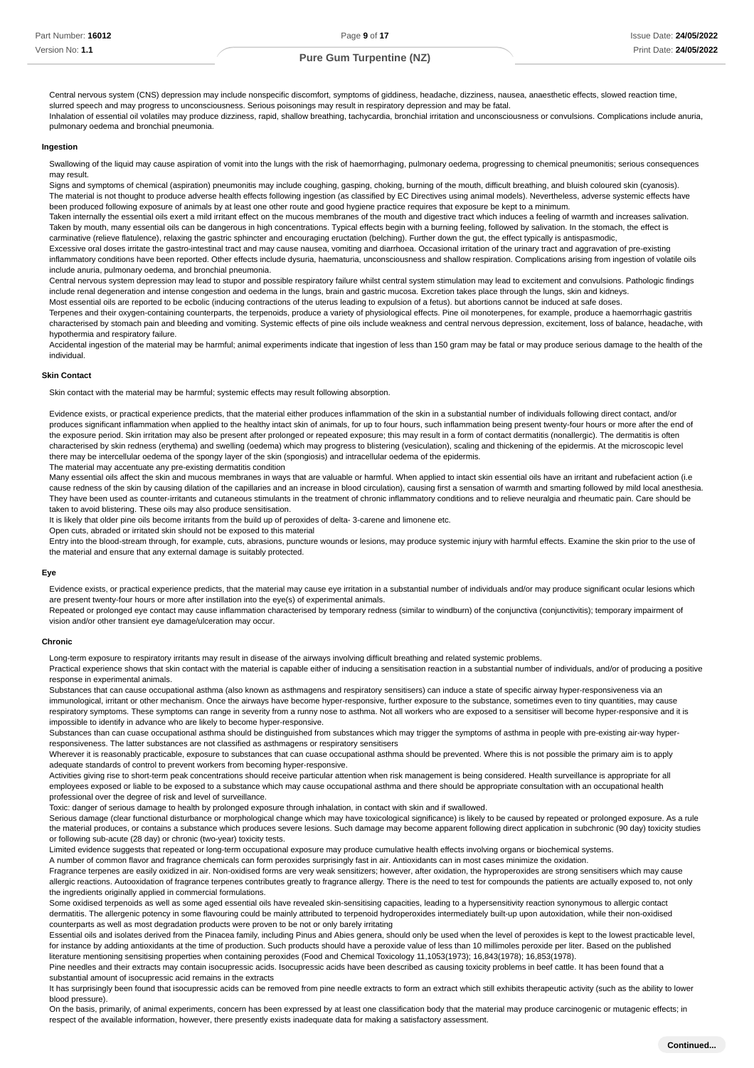Part Number: **16012** Version No: **1.1**

## **Pure Gum Turpentine (NZ)**

Central nervous system (CNS) depression may include nonspecific discomfort, symptoms of giddiness, headache, dizziness, nausea, anaesthetic effects, slowed reaction time, slurred speech and may progress to unconsciousness. Serious poisonings may result in respiratory depression and may be fatal. Inhalation of essential oil volatiles may produce dizziness, rapid, shallow breathing, tachycardia, bronchial irritation and unconsciousness or convulsions. Complications include anuria, pulmonary oedema and bronchial pneumonia.

#### **Ingestion**

Swallowing of the liquid may cause aspiration of vomit into the lungs with the risk of haemorrhaging, pulmonary oedema, progressing to chemical pneumonitis; serious consequences may result.

Signs and symptoms of chemical (aspiration) pneumonitis may include coughing, gasping, choking, burning of the mouth, difficult breathing, and bluish coloured skin (cyanosis). The material is not thought to produce adverse health effects following ingestion (as classified by EC Directives using animal models). Nevertheless, adverse systemic effects have been produced following exposure of animals by at least one other route and good hygiene practice requires that exposure be kept to a minimum.

Taken internally the essential oils exert a mild irritant effect on the mucous membranes of the mouth and digestive tract which induces a feeling of warmth and increases salivation. Taken by mouth, many essential oils can be dangerous in high concentrations. Typical effects begin with a burning feeling, followed by salivation. In the stomach, the effect is carminative (relieve flatulence), relaxing the gastric sphincter and encouraging eructation (belching). Further down the gut, the effect typically is antispasmodic,

Excessive oral doses irritate the gastro-intestinal tract and may cause nausea, vomiting and diarrhoea. Occasional irritation of the urinary tract and aggravation of pre-existing inflammatory conditions have been reported. Other effects include dysuria, haematuria, unconsciousness and shallow respiration. Complications arising from ingestion of volatile oils include anuria, pulmonary oedema, and bronchial pneumonia.

Central nervous system depression may lead to stupor and possible respiratory failure whilst central system stimulation may lead to excitement and convulsions. Pathologic findings include renal degeneration and intense congestion and oedema in the lungs, brain and gastric mucosa. Excretion takes place through the lungs, skin and kidneys.

Most essential oils are reported to be ecbolic (inducing contractions of the uterus leading to expulsion of a fetus). but abortions cannot be induced at safe doses.

Terpenes and their oxygen-containing counterparts, the terpenoids, produce a variety of physiological effects. Pine oil monoterpenes, for example, produce a haemorrhagic gastritis characterised by stomach pain and bleeding and vomiting. Systemic effects of pine oils include weakness and central nervous depression, excitement, loss of balance, headache, with hypothermia and respiratory failure.

Accidental ingestion of the material may be harmful; animal experiments indicate that ingestion of less than 150 gram may be fatal or may produce serious damage to the health of the individual.

#### **Skin Contact**

Skin contact with the material may be harmful; systemic effects may result following absorption.

Evidence exists, or practical experience predicts, that the material either produces inflammation of the skin in a substantial number of individuals following direct contact, and/or produces significant inflammation when applied to the healthy intact skin of animals, for up to four hours, such inflammation being present twenty-four hours or more after the end of the exposure period. Skin irritation may also be present after prolonged or repeated exposure; this may result in a form of contact dermatitis (nonallergic). The dermatitis is often characterised by skin redness (erythema) and swelling (oedema) which may progress to blistering (vesiculation), scaling and thickening of the epidermis. At the microscopic level there may be intercellular oedema of the spongy layer of the skin (spongiosis) and intracellular oedema of the epidermis. The material may accentuate any pre-existing dermatitis condition

Many essential oils affect the skin and mucous membranes in ways that are valuable or harmful. When applied to intact skin essential oils have an irritant and rubefacient action (i.e cause redness of the skin by causing dilation of the capillaries and an increase in blood circulation), causing first a sensation of warmth and smarting followed by mild local anesthesia. They have been used as counter-irritants and cutaneous stimulants in the treatment of chronic inflammatory conditions and to relieve neuralgia and rheumatic pain. Care should be taken to avoid blistering. These oils may also produce sensitisation.

It is likely that older pine oils become irritants from the build up of peroxides of delta- 3-carene and limonene etc.

Open cuts, abraded or irritated skin should not be exposed to this material Entry into the blood-stream through, for example, cuts, abrasions, puncture wounds or lesions, may produce systemic injury with harmful effects. Examine the skin prior to the use of

the material and ensure that any external damage is suitably protected.

#### **Eye**

Evidence exists, or practical experience predicts, that the material may cause eye irritation in a substantial number of individuals and/or may produce significant ocular lesions which are present twenty-four hours or more after instillation into the eye(s) of experimental animals.

Repeated or prolonged eye contact may cause inflammation characterised by temporary redness (similar to windburn) of the conjunctiva (conjunctivitis); temporary impairment of vision and/or other transient eye damage/ulceration may occur.

#### **Chronic**

Long-term exposure to respiratory irritants may result in disease of the airways involving difficult breathing and related systemic problems.

Practical experience shows that skin contact with the material is capable either of inducing a sensitisation reaction in a substantial number of individuals, and/or of producing a positive response in experimental animals.

Substances that can cause occupational asthma (also known as asthmagens and respiratory sensitisers) can induce a state of specific airway hyper-responsiveness via an immunological, irritant or other mechanism. Once the airways have become hyper-responsive, further exposure to the substance, sometimes even to tiny quantities, may cause respiratory symptoms. These symptoms can range in severity from a runny nose to asthma. Not all workers who are exposed to a sensitiser will become hyper-responsive and it is impossible to identify in advance who are likely to become hyper-responsive.

Substances than can cuase occupational asthma should be distinguished from substances which may trigger the symptoms of asthma in people with pre-existing air-way hyperresponsiveness. The latter substances are not classified as asthmagens or respiratory sensitisers

Wherever it is reasonably practicable, exposure to substances that can cuase occupational asthma should be prevented. Where this is not possible the primary aim is to apply adequate standards of control to prevent workers from becoming hyper-responsive.

Activities giving rise to short-term peak concentrations should receive particular attention when risk management is being considered. Health surveillance is appropriate for all employees exposed or liable to be exposed to a substance which may cause occupational asthma and there should be appropriate consultation with an occupational health professional over the degree of risk and level of surveillance.

Toxic: danger of serious damage to health by prolonged exposure through inhalation, in contact with skin and if swallowed.

Serious damage (clear functional disturbance or morphological change which may have toxicological significance) is likely to be caused by repeated or prolonged exposure. As a rule the material produces, or contains a substance which produces severe lesions. Such damage may become apparent following direct application in subchronic (90 day) toxicity studies or following sub-acute (28 day) or chronic (two-year) toxicity tests.

Limited evidence suggests that repeated or long-term occupational exposure may produce cumulative health effects involving organs or biochemical systems.

A number of common flavor and fragrance chemicals can form peroxides surprisingly fast in air. Antioxidants can in most cases minimize the oxidation.

Fragrance terpenes are easily oxidized in air. Non-oxidised forms are very weak sensitizers; however, after oxidation, the hyproperoxides are strong sensitisers which may cause allergic reactions. Autooxidation of fragrance terpenes contributes greatly to fragrance allergy. There is the need to test for compounds the patients are actually exposed to, not only the ingredients originally applied in commercial formulations.

Some oxidised terpenoids as well as some aged essential oils have revealed skin-sensitising capacities, leading to a hypersensitivity reaction synonymous to allergic contact dermatitis. The allergenic potency in some flavouring could be mainly attributed to terpenoid hydroperoxides intermediately built-up upon autoxidation, while their non-oxidised counterparts as well as most degradation products were proven to be not or only barely irritating

Essential oils and isolates derived from the Pinacea family, including Pinus and Abies genera, should only be used when the level of peroxides is kept to the lowest practicable level, for instance by adding antioxidants at the time of production. Such products should have a peroxide value of less than 10 millimoles peroxide per liter. Based on the published literature mentioning sensitising properties when containing peroxides (Food and Chemical Toxicology 11,1053(1973); 16,843(1978); 16,853(1978).

Pine needles and their extracts may contain isocupressic acids. Isocupressic acids have been described as causing toxicity problems in beef cattle. It has been found that a substantial amount of isocupressic acid remains in the extracts

It has surprisingly been found that isocupressic acids can be removed from pine needle extracts to form an extract which still exhibits therapeutic activity (such as the ability to lower blood pressure).

On the basis, primarily, of animal experiments, concern has been expressed by at least one classification body that the material may produce carcinogenic or mutagenic effects; in respect of the available information, however, there presently exists inadequate data for making a satisfactory assessment.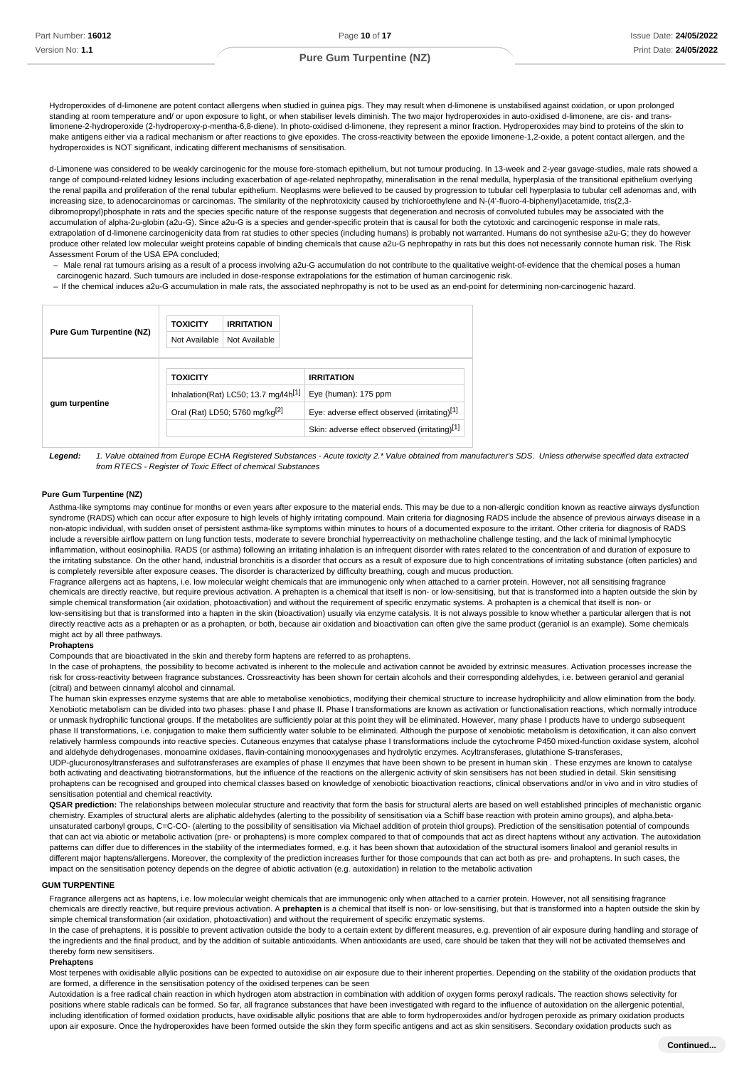Hydroperoxides of d-limonene are potent contact allergens when studied in guinea pigs. They may result when d-limonene is unstabilised against oxidation, or upon prolonged standing at room temperature and/ or upon exposure to light, or when stabiliser levels diminish. The two major hydroperoxides in auto-oxidised d-limonene, are cis- and translimonene-2-hydroperoxide (2-hydroperoxy-p-mentha-6,8-diene). In photo-oxidised d-limonene, they represent a minor fraction. Hydroperoxides may bind to proteins of the skin to make antigens either via a radical mechanism or after reactions to give epoxides. The cross-reactivity between the epoxide limonene-1,2-oxide, a potent contact allergen, and the hydroperoxides is NOT significant, indicating different mechanisms of sensitisation.

d-Limonene was considered to be weakly carcinogenic for the mouse fore-stomach epithelium, but not tumour producing. In 13-week and 2-year gavage-studies, male rats showed a range of compound-related kidney lesions including exacerbation of age-related nephropathy, mineralisation in the renal medulla, hyperplasia of the transitional epithelium overlying the renal papilla and proliferation of the renal tubular epithelium. Neoplasms were believed to be caused by progression to tubular cell hyperplasia to tubular cell adenomas and, with increasing size, to adenocarcinomas or carcinomas. The similarity of the nephrotoxicity caused by trichloroethylene and N-(4'-fluoro-4-biphenyl)acetamide, tris(2,3 dibromopropyl)phosphate in rats and the species specific nature of the response suggests that degeneration and necrosis of convoluted tubules may be associated with the accumulation of alpha-2u-globin (a2u-G). Since a2u-G is a species and gender-specific protein that is causal for both the cytotoxic and carcinogenic response in male rats, extrapolation of d-limonene carcinogenicity data from rat studies to other species (including humans) is probably not warranted. Humans do not synthesise a2u-G; they do however produce other related low molecular weight proteins capable of binding chemicals that cause a2u-G nephropathy in rats but this does not necessarily connote human risk. The Risk Assessment Forum of the USA EPA concluded;

Male renal rat tumours arising as a result of a process involving a2u-G accumulation do not contribute to the qualitative weight-of-evidence that the chemical poses a human carcinogenic hazard. Such tumours are included in dose-response extrapolations for the estimation of human carcinogenic risk. –

- If the chemical induces a2u-G accumulation in male rats, the associated nephropathy is not to be used as an end-point for determining non-carcinogenic hazard.

| <b>Pure Gum Turpentine (NZ)</b> | <b>TOXICITY</b><br>Not Available                                                               | <b>IRRITATION</b><br>Not Available |                                                                      |
|---------------------------------|------------------------------------------------------------------------------------------------|------------------------------------|----------------------------------------------------------------------|
|                                 | <b>TOXICITY</b>                                                                                |                                    | <b>IRRITATION</b>                                                    |
| gum turpentine                  | Inhalation(Rat) LC50; 13.7 mg/l4h <sup>[1]</sup><br>Oral (Rat) LD50; 5760 mg/kg <sup>[2]</sup> |                                    | Eye (human): 175 ppm<br>Eye: adverse effect observed (irritating)[1] |
|                                 |                                                                                                |                                    | Skin: adverse effect observed (irritating)[1]                        |
|                                 |                                                                                                |                                    |                                                                      |

**Legend:** 1. Value obtained from Europe ECHA Registered Substances - Acute toxicity 2.\* Value obtained from manufacturer's SDS. Unless otherwise specified data extracted from RTECS - Register of Toxic Effect of chemical Substances

#### **Pure Gum Turpentine (NZ)**

Asthma-like symptoms may continue for months or even years after exposure to the material ends. This may be due to a non-allergic condition known as reactive airways dysfunction syndrome (RADS) which can occur after exposure to high levels of highly irritating compound. Main criteria for diagnosing RADS include the absence of previous airways disease in a non-atopic individual, with sudden onset of persistent asthma-like symptoms within minutes to hours of a documented exposure to the irritant. Other criteria for diagnosis of RADS include a reversible airflow pattern on lung function tests, moderate to severe bronchial hyperreactivity on methacholine challenge testing, and the lack of minimal lymphocytic inflammation, without eosinophilia. RADS (or asthma) following an irritating inhalation is an infrequent disorder with rates related to the concentration of and duration of exposure to the irritating substance. On the other hand, industrial bronchitis is a disorder that occurs as a result of exposure due to high concentrations of irritating substance (often particles) and is completely reversible after exposure ceases. The disorder is characterized by difficulty breathing, cough and mucus production.

Fragrance allergens act as haptens, i.e. low molecular weight chemicals that are immunogenic only when attached to a carrier protein. However, not all sensitising fragrance chemicals are directly reactive, but require previous activation. A prehapten is a chemical that itself is non- or low-sensitising, but that is transformed into a hapten outside the skin by simple chemical transformation (air oxidation, photoactivation) and without the requirement of specific enzymatic systems. A prohapten is a chemical that itself is non- or low-sensitising but that is transformed into a hapten in the skin (bioactivation) usually via enzyme catalysis. It is not always possible to know whether a particular allergen that is not directly reactive acts as a prehapten or as a prohapten, or both, because air oxidation and bioactivation can often give the same product (geraniol is an example). Some chemicals might act by all three pathways.

#### **Prohaptens**

Compounds that are bioactivated in the skin and thereby form haptens are referred to as prohaptens.

In the case of prohaptens, the possibility to become activated is inherent to the molecule and activation cannot be avoided by extrinsic measures. Activation processes increase the risk for cross-reactivity between fragrance substances. Crossreactivity has been shown for certain alcohols and their corresponding aldehydes, i.e. between geraniol and geranial (citral) and between cinnamyl alcohol and cinnamal.

The human skin expresses enzyme systems that are able to metabolise xenobiotics, modifying their chemical structure to increase hydrophilicity and allow elimination from the body. Xenobiotic metabolism can be divided into two phases: phase I and phase II. Phase I transformations are known as activation or functionalisation reactions, which normally introduce or unmask hydrophilic functional groups. If the metabolites are sufficiently polar at this point they will be eliminated. However, many phase I products have to undergo subsequent phase II transformations, i.e. conjugation to make them sufficiently water soluble to be eliminated. Although the purpose of xenobiotic metabolism is detoxification, it can also convert relatively harmless compounds into reactive species. Cutaneous enzymes that catalyse phase I transformations include the cytochrome P450 mixed-function oxidase system, alcohol and aldehyde dehydrogenases, monoamine oxidases, flavin-containing monooxygenases and hydrolytic enzymes. Acyltransferases, glutathione S-transferases, UDP-glucuronosyltransferases and sulfotransferases are examples of phase II enzymes that have been shown to be present in human skin . These enzymes are known to catalyse both activating and deactivating biotransformations, but the influence of the reactions on the allergenic activity of skin sensitisers has not been studied in detail. Skin sensitising prohaptens can be recognised and grouped into chemical classes based on knowledge of xenobiotic bioactivation reactions, clinical observations and/or in vivo and in vitro studies of sensitisation potential and chemical reactivity.

**QSAR prediction:** The relationships between molecular structure and reactivity that form the basis for structural alerts are based on well established principles of mechanistic organic chemistry. Examples of structural alerts are aliphatic aldehydes (alerting to the possibility of sensitisation via a Schiff base reaction with protein amino groups), and alpha,betaunsaturated carbonyl groups, C=C-CO- (alerting to the possibility of sensitisation via Michael addition of protein thiol groups). Prediction of the sensitisation potential of compounds that can act via abiotic or metabolic activation (pre- or prohaptens) is more complex compared to that of compounds that act as direct haptens without any activation. The autoxidation patterns can differ due to differences in the stability of the intermediates formed, e.g. it has been shown that autoxidation of the structural isomers linalool and geraniol results in different major haptens/allergens. Moreover, the complexity of the prediction increases further for those compounds that can act both as pre- and prohaptens. In such cases, the impact on the sensitisation potency depends on the degree of abiotic activation (e.g. autoxidation) in relation to the metabolic activation

#### **GUM TURPENTINE**

Fragrance allergens act as haptens, i.e. low molecular weight chemicals that are immunogenic only when attached to a carrier protein. However, not all sensitising fragrance chemicals are directly reactive, but require previous activation. A **prehapten** is a chemical that itself is non- or low-sensitising, but that is transformed into a hapten outside the skin by simple chemical transformation (air oxidation, photoactivation) and without the requirement of specific enzymatic systems.

In the case of prehaptens, it is possible to prevent activation outside the body to a certain extent by different measures, e.g. prevention of air exposure during handling and storage of the ingredients and the final product, and by the addition of suitable antioxidants. When antioxidants are used, care should be taken that they will not be activated themselves and thereby form new sensitisers.

#### **Prehaptens**

Most terpenes with oxidisable allylic positions can be expected to autoxidise on air exposure due to their inherent properties. Depending on the stability of the oxidation products that are formed, a difference in the sensitisation potency of the oxidised terpenes can be seen

Autoxidation is a free radical chain reaction in which hydrogen atom abstraction in combination with addition of oxygen forms peroxyl radicals. The reaction shows selectivity for positions where stable radicals can be formed. So far, all fragrance substances that have been investigated with regard to the influence of autoxidation on the allergenic potential, including identification of formed oxidation products, have oxidisable allylic positions that are able to form hydroperoxides and/or hydrogen peroxide as primary oxidation products upon air exposure. Once the hydroperoxides have been formed outside the skin they form specific antigens and act as skin sensitisers. Secondary oxidation products such as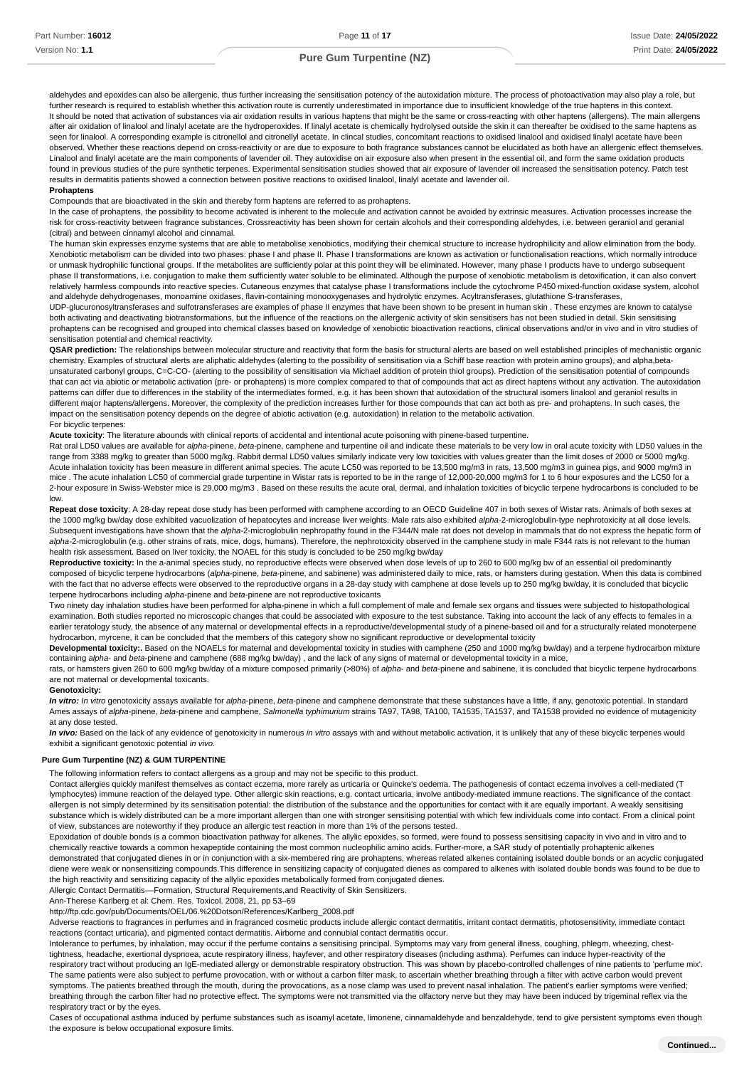aldehydes and epoxides can also be allergenic, thus further increasing the sensitisation potency of the autoxidation mixture. The process of photoactivation may also play a role, but further research is required to establish whether this activation route is currently underestimated in importance due to insufficient knowledge of the true haptens in this context It should be noted that activation of substances via air oxidation results in various haptens that might be the same or cross-reacting with other haptens (allergens). The main allergens after air oxidation of linalool and linalyl acetate are the hydroperoxides. If linalyl acetate is chemically hydrolysed outside the skin it can thereafter be oxidised to the same haptens as seen for linalool. A corresponding example is citronellol and citronellyl acetate. In clincal studies, concomitant reactions to oxidised linalool and oxidised linalyl acetate have been observed. Whether these reactions depend on cross-reactivity or are due to exposure to both fragrance substances cannot be elucidated as both have an allergenic effect themselves. Linalool and linalyl acetate are the main components of lavender oil. They autoxidise on air exposure also when present in the essential oil, and form the same oxidation products found in previous studies of the pure synthetic terpenes. Experimental sensitisation studies showed that air exposure of lavender oil increased the sensitisation potency. Patch test results in dermatitis patients showed a connection between positive reactions to oxidised linalool, linalyl acetate and lavender oil. **Prohaptens**

Compounds that are bioactivated in the skin and thereby form haptens are referred to as prohaptens.

In the case of prohaptens, the possibility to become activated is inherent to the molecule and activation cannot be avoided by extrinsic measures. Activation processes increase the risk for cross-reactivity between fragrance substances. Crossreactivity has been shown for certain alcohols and their corresponding aldehydes, i.e. between geraniol and geranial (citral) and between cinnamyl alcohol and cinnamal.

The human skin expresses enzyme systems that are able to metabolise xenobiotics, modifying their chemical structure to increase hydrophilicity and allow elimination from the body. Xenobiotic metabolism can be divided into two phases: phase I and phase II. Phase I transformations are known as activation or functionalisation reactions, which normally introduce or unmask hydrophilic functional groups. If the metabolites are sufficiently polar at this point they will be eliminated. However, many phase I products have to undergo subsequent phase II transformations, i.e. conjugation to make them sufficiently water soluble to be eliminated. Although the purpose of xenobiotic metabolism is detoxification, it can also convert relatively harmless compounds into reactive species. Cutaneous enzymes that catalyse phase I transformations include the cytochrome P450 mixed-function oxidase system, alcohol and aldehyde dehydrogenases, monoamine oxidases, flavin-containing monooxygenases and hydrolytic enzymes. Acyltransferases, glutathione S-transferases,

UDP-glucuronosyltransferases and sulfotransferases are examples of phase II enzymes that have been shown to be present in human skin . These enzymes are known to catalyse both activating and deactivating biotransformations, but the influence of the reactions on the allergenic activity of skin sensitisers has not been studied in detail. Skin sensitising prohaptens can be recognised and grouped into chemical classes based on knowledge of xenobiotic bioactivation reactions, clinical observations and/or in vivo and in vitro studies of sensitisation potential and chemical reactivity.

QSAR prediction: The relationships between molecular structure and reactivity that form the basis for structural alerts are based on well established principles of mechanistic organic chemistry. Examples of structural alerts are aliphatic aldehydes (alerting to the possibility of sensitisation via a Schiff base reaction with protein amino groups), and alpha,betaunsaturated carbonyl groups, C=C-CO- (alerting to the possibility of sensitisation via Michael addition of protein thiol groups). Prediction of the sensitisation potential of compounds that can act via abiotic or metabolic activation (pre- or prohaptens) is more complex compared to that of compounds that act as direct haptens without any activation. The autoxidation patterns can differ due to differences in the stability of the intermediates formed, e.g. it has been shown that autoxidation of the structural isomers linalool and geraniol results in different major haptens/allergens. Moreover, the complexity of the prediction increases further for those compounds that can act both as pre- and prohaptens. In such cases, the impact on the sensitisation potency depends on the degree of abiotic activation (e.g. autoxidation) in relation to the metabolic activation. For bicyclic terpenes:

## **Acute toxicity**: The literature abounds with clinical reports of accidental and intentional acute poisoning with pinene-based turpentine.

Rat oral LD50 values are available for alpha-pinene, beta-pinene, camphene and turpentine oil and indicate these materials to be very low in oral acute toxicity with LD50 values in the range from 3388 mg/kg to greater than 5000 mg/kg. Rabbit dermal LD50 values similarly indicate very low toxicities with values greater than the limit doses of 2000 or 5000 mg/kg. Acute inhalation toxicity has been measure in different animal species. The acute LC50 was reported to be 13,500 mg/m3 in rats, 13,500 mg/m3 in quinea pigs, and 9000 mg/m3 in mice . The acute inhalation LC50 of commercial grade turpentine in Wistar rats is reported to be in the range of 12,000-20,000 mg/m3 for 1 to 6 hour exposures and the LC50 for a 2-hour exposure in Swiss-Webster mice is 29,000 mg/m3, Based on these results the acute oral, dermal, and inhalation toxicities of bicyclic terpene hydrocarbons is concluded to be low.

**Repeat dose toxicity**: A 28-day repeat dose study has been performed with camphene according to an OECD Guideline 407 in both sexes of Wistar rats. Animals of both sexes at the 1000 mg/kg bw/day dose exhibited vacuolization of hepatocytes and increase liver weights. Male rats also exhibited alpha-2-microglobulin-type nephrotoxicity at all dose levels. Subsequent investigations have shown that the alpha-2-microglobulin nephropathy found in the F344/N male rat does not develop in mammals that do not express the hepatic form of alpha-2-microglobulin (e.g. other strains of rats, mice, dogs, humans). Therefore, the nephrotoxicity observed in the camphene study in male F344 rats is not relevant to the human health risk assessment. Based on liver toxicity, the NOAEL for this study is concluded to be 250 mg/kg bw/day

**Reproductive toxicity:** In the a-animal species study, no reproductive effects were observed when dose levels of up to 260 to 600 mg/kg bw of an essential oil predominantly composed of bicyclic terpene hydrocarbons (alpha-pinene, beta-pinene, and sabinene) was administered daily to mice, rats, or hamsters during gestation. When this data is combined with the fact that no adverse effects were observed to the reproductive organs in a 28-day study with camphene at dose levels up to 250 mg/kg bw/day, it is concluded that bicyclic terpene hydrocarbons including alpha-pinene and beta-pinene are not reproductive toxicants

Two ninety day inhalation studies have been performed for alpha-pinene in which a full complement of male and female sex organs and tissues were subjected to histopathological examination. Both studies reported no microscopic changes that could be associated with exposure to the test substance. Taking into account the lack of any effects to females in a earlier teratology study, the absence of any maternal or developmental effects in a reproductive/developmental study of a pinene-based oil and for a structurally related monoterpene hydrocarbon, myrcene, it can be concluded that the members of this category show no significant reproductive or developmental toxicity

**Developmental toxicity:.** Based on the NOAELs for maternal and developmental toxicity in studies with camphene (250 and 1000 mg/kg bw/day) and a terpene hydrocarbon mixture containing alpha- and beta-pinene and camphene (688 mg/kg bw/day), and the lack of any signs of maternal or developmental toxicity in a mice,

rats, or hamsters given 260 to 600 mg/kg bw/day of a mixture composed primarily (>80%) of alpha- and beta-pinene and sabinene, it is concluded that bicyclic terpene hydrocarbons are not maternal or developmental toxicants.

#### **Genotoxicity:**

In vitro: In vitro genotoxicity assays available for alpha-pinene, beta-pinene and camphene demonstrate that these substances have a little, if any, genotoxic potential. In standard Ames assays of alpha-pinene, beta-pinene and camphene, Salmonella typhimurium strains TA97, TA98, TA100, TA1535, TA1537, and TA1538 provided no evidence of mutagenicity at any dose tested.

In vivo: Based on the lack of any evidence of genotoxicity in numerous in vitro assays with and without metabolic activation, it is unlikely that any of these bicyclic terpenes would exhibit a significant genotoxic potential in vivo.

#### **Pure Gum Turpentine (NZ) & GUM TURPENTINE**

The following information refers to contact allergens as a group and may not be specific to this product.

Contact allergies quickly manifest themselves as contact eczema, more rarely as urticaria or Quincke's oedema. The pathogenesis of contact eczema involves a cell-mediated (T lymphocytes) immune reaction of the delayed type. Other allergic skin reactions, e.g. contact urticaria, involve antibody-mediated immune reactions. The significance of the contact allergen is not simply determined by its sensitisation potential: the distribution of the substance and the opportunities for contact with it are equally important. A weakly sensitising substance which is widely distributed can be a more important allergen than one with stronger sensitising potential with which few individuals come into contact. From a clinical point of view, substances are noteworthy if they produce an allergic test reaction in more than 1% of the persons tested.

Epoxidation of double bonds is a common bioactivation pathway for alkenes. The allylic epoxides, so formed, were found to possess sensitising capacity in vivo and in vitro and to chemically reactive towards a common hexapeptide containing the most common nucleophilic amino acids. Further-more, a SAR study of potentially prohaptenic alkenes demonstrated that conjugated dienes in or in conjunction with a six-membered ring are prohaptens, whereas related alkenes containing isolated double bonds or an acyclic conjugated diene were weak or nonsensitizing compounds. This difference in sensitizing capacity of conjugated dienes as compared to alkenes with isolated double bonds was found to be due to the high reactivity and sensitizing capacity of the allylic epoxides metabolically formed from conjugated dienes.

Allergic Contact Dermatitis––Formation, Structural Requirements,and Reactivity of Skin Sensitizers.

Ann-Therese Karlberg et al: Chem. Res. Toxicol. 2008, 21, pp 53–69

http://ftp.cdc.gov/pub/Documents/OEL/06.%20Dotson/References/Karlberg\_2008.pdf

Adverse reactions to fragrances in perfumes and in fragranced cosmetic products include allergic contact dermatitis, irritant contact dermatitis, photosensitivity, immediate contact reactions (contact urticaria), and pigmented contact dermatitis. Airborne and connubial contact dermatitis occur.

Intolerance to perfumes, by inhalation, may occur if the perfume contains a sensitising principal. Symptoms may vary from general illness, coughing, phlegm, wheezing, chesttightness, headache, exertional dyspnoea, acute respiratory illness, hayfever, and other respiratory diseases (including asthma). Perfumes can induce hyper-reactivity of the respiratory tract without producing an IgE-mediated allergy or demonstrable respiratory obstruction. This was shown by placebo-controlled challenges of nine patients to 'perfume mix'. The same patients were also subject to perfume provocation, with or without a carbon filter mask, to ascertain whether breathing through a filter with active carbon would prevent symptoms. The patients breathed through the mouth, during the provocations, as a nose clamp was used to prevent nasal inhalation. The patient's earlier symptoms were verified; breathing through the carbon filter had no protective effect. The symptoms were not transmitted via the olfactory nerve but they may have been induced by trigeminal reflex via the respiratory tract or by the eyes.

Cases of occupational asthma induced by perfume substances such as isoamyl acetate, limonene, cinnamaldehyde and benzaldehyde, tend to give persistent symptoms even though the exposure is below occupational exposure limits.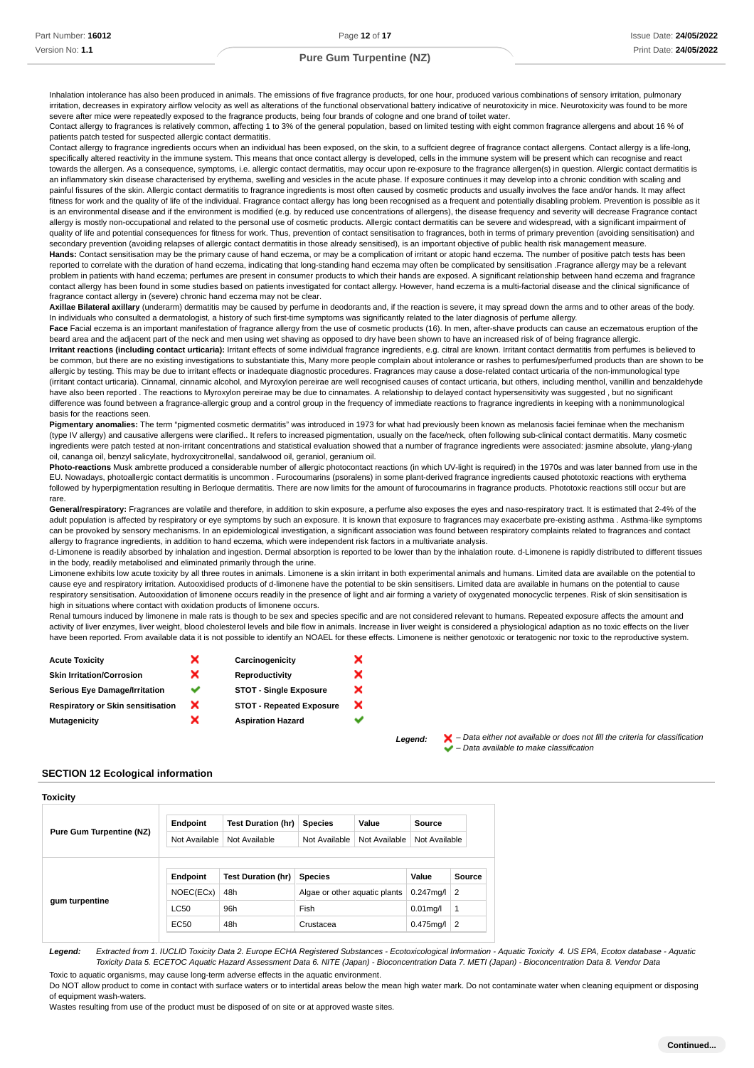Inhalation intolerance has also been produced in animals. The emissions of five fragrance products, for one hour, produced various combinations of sensory irritation, pulmonary irritation, decreases in expiratory airflow velocity as well as alterations of the functional observational battery indicative of neurotoxicity in mice. Neurotoxicity was found to be more severe after mice were repeatedly exposed to the fragrance products, being four brands of cologne and one brand of toilet water.

Contact allergy to fragrances is relatively common, affecting 1 to 3% of the general population, based on limited testing with eight common fragrance allergens and about 16 % of patients patch tested for suspected allergic contact dermatitis.

Contact allergy to fragrance ingredients occurs when an individual has been exposed, on the skin, to a suffcient degree of fragrance contact allergens. Contact allergy is a life-long, specifically altered reactivity in the immune system. This means that once contact allergy is developed, cells in the immune system will be present which can recognise and react towards the allergen. As a consequence, symptoms, i.e. allergic contact dermatitis, may occur upon re-exposure to the fragrance allergen(s) in question. Allergic contact dermatitis is an inflammatory skin disease characterised by erythema, swelling and vesicles in the acute phase. If exposure continues it may develop into a chronic condition with scaling and painful fissures of the skin. Allergic contact dermatitis to fragrance ingredients is most often caused by cosmetic products and usually involves the face and/or hands. It may affect fitness for work and the quality of life of the individual. Fragrance contact allergy has long been recognised as a frequent and potentially disabling problem. Prevention is possible as it is an environmental disease and if the environment is modified (e.g. by reduced use concentrations of allergens), the disease frequency and severity will decrease Fragrance contact allergy is mostly non-occupational and related to the personal use of cosmetic products. Allergic contact dermatitis can be severe and widespread, with a significant impairment of quality of life and potential consequences for fitness for work. Thus, prevention of contact sensitisation to fragrances, both in terms of primary prevention (avoiding sensitisation) and secondary prevention (avoiding relapses of allergic contact dermatitis in those already sensitised), is an important objective of public health risk management measure. **Hands:** Contact sensitisation may be the primary cause of hand eczema, or may be a complication of irritant or atopic hand eczema. The number of positive patch tests has been reported to correlate with the duration of hand eczema, indicating that long-standing hand eczema may often be complicated by sensitisation .Fragrance allergy may be a relevant problem in patients with hand eczema; perfumes are present in consumer products to which their hands are exposed. A significant relationship between hand eczema and fragrance contact allergy has been found in some studies based on patients investigated for contact allergy. However, hand eczema is a multi-factorial disease and the clinical significance of fragrance contact allergy in (severe) chronic hand eczema may not be clear.

**Axillae Bilateral axillary** (underarm) dermatitis may be caused by perfume in deodorants and, if the reaction is severe, it may spread down the arms and to other areas of the body. In individuals who consulted a dermatologist, a history of such first-time symptoms was significantly related to the later diagnosis of perfume allergy.

Face Facial eczema is an important manifestation of fragrance allergy from the use of cosmetic products (16). In men, after-shave products can cause an eczematous eruption of the beard area and the adjacent part of the neck and men using wet shaving as opposed to dry have been shown to have an increased risk of of being fragrance allergic. **Irritant reactions (including contact urticaria):** Irritant effects of some individual fragrance ingredients, e.g. citral are known. Irritant contact dermatitis from perfumes is believed to be common, but there are no existing investigations to substantiate this. Many more people complain about intolerance or rashes to perfumes/perfumed products than are shown to be allergic by testing. This may be due to irritant effects or inadequate diagnostic procedures. Fragrances may cause a dose-related contact urticaria of the non-immunological type (irritant contact urticaria). Cinnamal, cinnamic alcohol, and Myroxylon pereirae are well recognised causes of contact urticaria, but others, including menthol, vanillin and benzaldehyde have also been reported . The reactions to Myroxylon pereirae may be due to cinnamates. A relationship to delayed contact hypersensitivity was suggested , but no significant difference was found between a fragrance-allergic group and a control group in the frequency of immediate reactions to fragrance ingredients in keeping with a nonimmunological basis for the reactions seen.

**Pigmentary anomalies:** The term "pigmented cosmetic dermatitis" was introduced in 1973 for what had previously been known as melanosis faciei feminae when the mechanism (type IV allergy) and causative allergens were clarified.. It refers to increased pigmentation, usually on the face/neck, often following sub-clinical contact dermatitis. Many cosmetic ingredients were patch tested at non-irritant concentrations and statistical evaluation showed that a number of fragrance ingredients were associated: jasmine absolute, ylang-ylang oil, cananga oil, benzyl salicylate, hydroxycitronellal, sandalwood oil, geraniol, geranium oil.

**Photo-reactions** Musk ambrette produced a considerable number of allergic photocontact reactions (in which UV-light is required) in the 1970s and was later banned from use in the EU. Nowadays, photoallergic contact dermatitis is uncommon . Furocoumarins (psoralens) in some plant-derived fragrance ingredients caused phototoxic reactions with erythema followed by hyperpigmentation resulting in Berloque dermatitis. There are now limits for the amount of furocoumarins in fragrance products. Phototoxic reactions still occur but are rare.

General/respiratory: Fragrances are volatile and therefore, in addition to skin exposure, a perfume also exposes the eyes and naso-respiratory tract. It is estimated that 2-4% of the adult population is affected by respiratory or eye symptoms by such an exposure. It is known that exposure to fragrances may exacerbate pre-existing asthma . Asthma-like symptoms can be provoked by sensory mechanisms. In an epidemiological investigation, a significant association was found between respiratory complaints related to fragrances and contact allergy to fragrance ingredients, in addition to hand eczema, which were independent risk factors in a multivariate analysis.

d-Limonene is readily absorbed by inhalation and ingestion. Dermal absorption is reported to be lower than by the inhalation route. d-Limonene is rapidly distributed to different tissues in the body, readily metabolised and eliminated primarily through the urine.

Limonene exhibits low acute toxicity by all three routes in animals. Limonene is a skin irritant in both experimental animals and humans. Limited data are available on the potential to cause eye and respiratory irritation. Autooxidised products of d-limonene have the potential to be skin sensitisers. Limited data are available in humans on the potential to cause respiratory sensitisation. Autooxidation of limonene occurs readily in the presence of light and air forming a variety of oxygenated monocyclic terpenes. Risk of skin sensitisation is high in situations where contact with oxidation products of limonene occurs.

Renal tumours induced by limonene in male rats is though to be sex and species specific and are not considered relevant to humans. Repeated exposure affects the amount and activity of liver enzymes, liver weight, blood cholesterol levels and bile flow in animals. Increase in liver weight is considered a physiological adaption as no toxic effects on the liver have been reported. From available data it is not possible to identify an NOAEL for these effects. Limonene is neither genotoxic or teratogenic nor toxic to the reproductive system.

| × | Carcinogenicity                 | × |
|---|---------------------------------|---|
| × | Reproductivity                  | × |
| ັ | <b>STOT - Single Exposure</b>   | × |
| × | <b>STOT - Repeated Exposure</b> | × |
| x | <b>Aspiration Hazard</b>        |   |
|   |                                 |   |

Legend:  $\mathsf{X}$  – Data either not available or does not fill the criteria for classification – Data available to make classification

## **SECTION 12 Ecological information**

| Toxicity                        |               |                           |                                |       |               |                |
|---------------------------------|---------------|---------------------------|--------------------------------|-------|---------------|----------------|
| <b>Pure Gum Turpentine (NZ)</b> | Endpoint      | <b>Test Duration (hr)</b> | <b>Species</b>                 | Value | Source        |                |
|                                 | Not Available | Not Available             | Not Available<br>Not Available |       | Not Available |                |
|                                 | Endpoint      | <b>Test Duration (hr)</b> | <b>Species</b>                 |       | Value         | Source         |
| gum turpentine                  | NOEC(ECx)     | 48h                       | Algae or other aquatic plants  |       | $0.247$ mg/l  | $\overline{2}$ |
|                                 | <b>LC50</b>   | 96h                       | Fish                           |       | $0.01$ mg/l   | 1              |
|                                 | EC50          | 48h                       | Crustacea                      |       | $0.475$ mg/l  | $\overline{2}$ |
|                                 |               |                           |                                |       |               |                |

**Legend:** Extracted from 1. IUCLID Toxicity Data 2. Europe ECHA Registered Substances - Ecotoxicological Information - Aquatic Toxicity 4. US EPA, Ecotox database - Aquatic Toxicity Data 5. ECETOC Aquatic Hazard Assessment Data 6. NITE (Japan) - Bioconcentration Data 7. METI (Japan) - Bioconcentration Data 8. Vendor Data Toxic to aquatic organisms, may cause long-term adverse effects in the aquatic environment.

Do NOT allow product to come in contact with surface waters or to intertidal areas below the mean high water mark. Do not contaminate water when cleaning equipment or disposing of equipment wash-waters.

Wastes resulting from use of the product must be disposed of on site or at approved waste sites.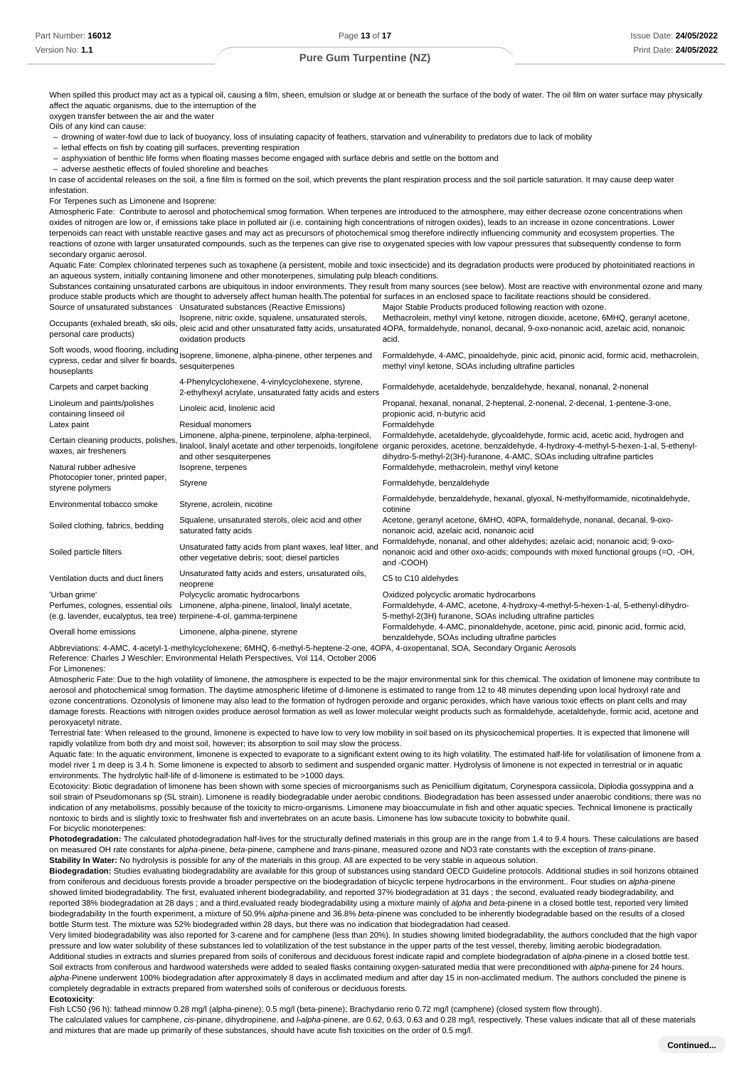When spilled this product may act as a typical oil, causing a film, sheen, emulsion or sludge at or beneath the surface of the body of water. The oil film on water surface may physically affect the aquatic organisms, due to the interruption of the oxygen transfer between the air and the water

Oils of any kind can cause:

- drowning of water-fowl due to lack of buoyancy, loss of insulating capacity of feathers, starvation and vulnerability to predators due to lack of mobility

- lethal effects on fish by coating gill surfaces, preventing respiration

- asphyxiation of benthic life forms when floating masses become engaged with surface debris and settle on the bottom and

adverse aesthetic effects of fouled shoreline and beaches –

In case of accidental releases on the soil, a fine film is formed on the soil, which prevents the plant respiration process and the soil particle saturation. It may cause deep water infestation.

For Terpenes such as Limonene and Isoprene:

Atmospheric Fate: Contribute to aerosol and photochemical smog formation. When terpenes are introduced to the atmosphere, may either decrease ozone concentrations when oxides of nitrogen are low or, if emissions take place in polluted air (i.e. containing high concentrations of nitrogen oxides), leads to an increase in ozone concentrations. Lower terpenoids can react with unstable reactive gases and may act as precursors of photochemical smog therefore indirectly influencing community and ecosystem properties. The reactions of ozone with larger unsaturated compounds, such as the terpenes can give rise to oxygenated species with low vapour pressures that subsequently condense to form secondary organic aerosol.

Aquatic Fate: Complex chlorinated terpenes such as toxaphene (a persistent, mobile and toxic insecticide) and its degradation products were produced by photoinitiated reactions in an aqueous system, initially containing limonene and other monoterpenes, simulating pulp bleach conditions.

Substances containing unsaturated carbons are ubiquitous in indoor environments. They result from many sources (see below). Most are reactive with environmental ozone and many produce stable products which are thought to adversely affect human health.The potential for surfaces in an enclosed space to facilitate reactions should be considered. Source of unsaturated substances Unsaturated substances (Reactive Emissions) Major Stable Products produced following reaction with ozone.

| Occupants (exhaled breath, ski oils<br>personal care products)                                              | Isoprene, nitric oxide, squalene, unsaturated sterols,<br>oxidation products                                                                     | Methacrolein, methyl vinyl ketone, nitrogen dioxide, acetone, 6MHQ, geranyl acetone,<br>oleic acid and other unsaturated fatty acids, unsaturated 4OPA, formaldehyde, nonanol, decanal, 9-oxo-nonanoic acid, azelaic acid, nonanoic<br>acid.             |
|-------------------------------------------------------------------------------------------------------------|--------------------------------------------------------------------------------------------------------------------------------------------------|----------------------------------------------------------------------------------------------------------------------------------------------------------------------------------------------------------------------------------------------------------|
| cypress, cedar and silver fir boards,<br>houseplants                                                        | Soft woods, wood flooring, including Isoprene, limonene, alpha-pinene, other terpenes and<br>sesquiterpenes                                      | Formaldehyde, 4-AMC, pinoaldehyde, pinic acid, pinonic acid, formic acid, methacrolein,<br>methyl vinyl ketone, SOAs including ultrafine particles                                                                                                       |
| Carpets and carpet backing                                                                                  | 4-Phenylcyclohexene, 4-vinylcyclohexene, styrene,<br>2-ethylhexyl acrylate, unsaturated fatty acids and esters                                   | Formaldehyde, acetaldehyde, benzaldehyde, hexanal, nonanal, 2-nonenal                                                                                                                                                                                    |
| Linoleum and paints/polishes<br>containing linseed oil                                                      | Linoleic acid, linolenic acid                                                                                                                    | Propanal, hexanal, nonanal, 2-heptenal, 2-nonenal, 2-decenal, 1-pentene-3-one,<br>propionic acid, n-butyric acid                                                                                                                                         |
| Latex paint                                                                                                 | Residual monomers                                                                                                                                | Formaldehyde                                                                                                                                                                                                                                             |
| Certain cleaning products, polishes<br>waxes, air fresheners                                                | Limonene, alpha-pinene, terpinolene, alpha-terpineol,<br>linalool, linalyl acetate and other terpenoids, longifolene<br>and other sesquiterpenes | Formaldehyde, acetaldehyde, glycoaldehyde, formic acid, acetic acid, hydrogen and<br>organic peroxides, acetone, benzaldehyde, 4-hydroxy-4-methyl-5-hexen-1-al, 5-ethenyl-<br>dihydro-5-methyl-2(3H)-furanone, 4-AMC, SOAs including ultrafine particles |
| Natural rubber adhesive                                                                                     | Isoprene, terpenes                                                                                                                               | Formaldehyde, methacrolein, methyl vinyl ketone                                                                                                                                                                                                          |
| Photocopier toner, printed paper,<br>styrene polymers                                                       | Styrene                                                                                                                                          | Formaldehyde, benzaldehyde                                                                                                                                                                                                                               |
| Environmental tobacco smoke                                                                                 | Styrene, acrolein, nicotine                                                                                                                      | Formaldehyde, benzaldehyde, hexanal, glyoxal, N-methylformamide, nicotinaldehyde,<br>cotinine                                                                                                                                                            |
| Soiled clothing, fabrics, bedding                                                                           | Squalene, unsaturated sterols, oleic acid and other<br>saturated fatty acids                                                                     | Acetone, geranyl acetone, 6MHO, 40PA, formaldehyde, nonanal, decanal, 9-oxo-<br>nonanoic acid, azelaic acid, nonanoic acid                                                                                                                               |
| Soiled particle filters                                                                                     | Unsaturated fatty acids from plant waxes, leaf litter, and<br>other vegetative debris; soot; diesel particles                                    | Formaldehyde, nonanal, and other aldehydes; azelaic acid; nonanoic acid; 9-oxo-<br>nonanoic acid and other oxo-acids; compounds with mixed functional groups (=O, -OH,<br>and -COOH)                                                                     |
| Ventilation ducts and duct liners                                                                           | Unsaturated fatty acids and esters, unsaturated oils,<br>neoprene                                                                                | C5 to C10 aldehydes                                                                                                                                                                                                                                      |
| 'Urban grime'                                                                                               | Polycyclic aromatic hydrocarbons                                                                                                                 | Oxidized polycyclic aromatic hydrocarbons                                                                                                                                                                                                                |
| Perfumes, colognes, essential oils<br>(e.g. lavender, eucalyptus, tea tree) terpinene-4-ol, gamma-terpinene | Limonene, alpha-pinene, linalool, linalyl acetate,                                                                                               | Formaldehyde, 4-AMC, acetone, 4-hydroxy-4-methyl-5-hexen-1-al, 5-ethenyl-dihydro-<br>5-methyl-2(3H) furanone, SOAs including ultrafine particles                                                                                                         |
| Overall home emissions                                                                                      | Limonene, alpha-pinene, styrene                                                                                                                  | Formaldehyde, 4-AMC, pinonaldehyde, acetone, pinic acid, pinonic acid, formic acid,<br>benzaldehyde, SOAs including ultrafine particles                                                                                                                  |
|                                                                                                             | Abbasiations A AMO A postul A methodic scholarship CMUO Construct booting Open AODA A concertered COA Considered Opening Association             |                                                                                                                                                                                                                                                          |

ethylcyclohexene: 6MHQ, 6-methyl-5-heptene-2-one, 4OPA, 4-oxopentanal, SOA, Secondary Organic Aeros Reference: Charles J Weschler; Environmental Helath Perspectives, Vol 114, October 2006

For Limonenes:

Atmospheric Fate: Due to the high volatility of limonene, the atmosphere is expected to be the major environmental sink for this chemical. The oxidation of limonene may contribute to aerosol and photochemical smog formation. The daytime atmospheric lifetime of d-limonene is estimated to range from 12 to 48 minutes depending upon local hydroxyl rate and ozone concentrations. Ozonolysis of limonene may also lead to the formation of hydrogen peroxide and organic peroxides, which have various toxic effects on plant cells and may damage forests. Reactions with nitrogen oxides produce aerosol formation as well as lower molecular weight products such as formaldehyde, acetaldehyde, formic acid, acetone and peroxyacetyl nitrate.

Terrestrial fate: When released to the ground, limonene is expected to have low to very low mobility in soil based on its physicochemical properties. It is expected that limonene will rapidly volatilize from both dry and moist soil, however; its absorption to soil may slow the process.

Aquatic fate: In the aquatic environment, limonene is expected to evaporate to a significant extent owing to its high volatility. The estimated half-life for volatilisation of limonene from a model river 1 m deep is 3.4 h. Some limonene is expected to absorb to sediment and suspended organic matter. Hydrolysis of limonene is not expected in terrestrial or in aquatic environments. The hydrolytic half-life of d-limonene is estimated to be >1000 days.

Ecotoxicity: Biotic degradation of limonene has been shown with some species of microorganisms such as Penicillium digitatum, Corynespora cassiicola, Diplodia gossyppina and a soil strain of Pseudomonans sp (SL strain). Limonene is readily biodegradable under aerobic conditions. Biodegradation has been assessed under anaerobic conditions; there was no indication of any metabolisms, possibly because of the toxicity to micro-organisms. Limonene may bioaccumulate in fish and other aquatic species. Technical limonene is practically nontoxic to birds and is slightly toxic to freshwater fish and invertebrates on an acute basis. Limonene has low subacute toxicity to bobwhite quail. For bicyclic monoterpenes:

**Photodegradation:** The calculated photodegradation half-lives for the structurally defined materials in this group are in the range from 1.4 to 9.4 hours. These calculations are based on measured OH rate constants for alpha-pinene, beta-pinene, camphene and trans-pinane, measured ozone and NO3 rate constants with the exception of trans-pinane. **Stability In Water:** No hydrolysis is possible for any of the materials in this group. All are expected to be very stable in aqueous solution.

**Biodegradation:** Studies evaluating biodegradability are available for this group of substances using standard OECD Guideline protocols. Additional studies in soil horizons obtained from coniferous and deciduous forests provide a broader perspective on the biodegradation of bicyclic terpene hydrocarbons in the environment.. Four studies on alpha-pinene showed limited biodegradability. The first, evaluated inherent biodegradability, and reported 37% biodegradation at 31 days ; the second, evaluated ready biodegradability, and reported 38% biodegradation at 28 days ; and a third,evaluated ready biodegradability using a mixture mainly of alpha and beta-pinene in a closed bottle test, reported very limited biodegradability In the fourth experiment, a mixture of 50.9% alpha-pinene and 36.8% beta-pinene was concluded to be inherently biodegradable based on the results of a closed bottle Sturm test. The mixture was 52% biodegraded within 28 days, but there was no indication that biodegradation had ceased.

Very limited biodegradability was also reported for 3-carene and for camphene (less than 20%). In studies showing limited biodegradability, the authors concluded that the high vapor pressure and low water solubility of these substances led to volatilization of the test substance in the upper parts of the test vessel, thereby, limiting aerobic biodegradation. Additional studies in extracts and slurries prepared from soils of coniferous and deciduous forest indicate rapid and complete biodegradation of alpha-pinene in a closed bottle test. Soil extracts from coniferous and hardwood watersheds were added to sealed flasks containing oxygen-saturated media that were preconditioned with alpha-pinene for 24 hours. alpha-Pinene underwent 100% biodegradation after approximately 8 days in acclimated medium and after day 15 in non-acclimated medium. The authors concluded the pinene is completely degradable in extracts prepared from watershed soils of coniferous or deciduous forests.

#### **Ecotoxicity**:

Fish LC50 (96 h): fathead minnow 0.28 mg/l (alpha-pinene); 0.5 mg/l (beta-pinene); Brachydanio rerio 0.72 mg/l (camphene) (closed system flow through). The calculated values for camphene, cis-pinane, dihydropinene, and *I-alpha*-pinene, are 0.62, 0.63, 0.63 and 0.28 mg/l, respectively. These values indicate that all of these materials and mixtures that are made up primarily of these substances, should have acute fish toxicities on the order of 0.5 mg/l.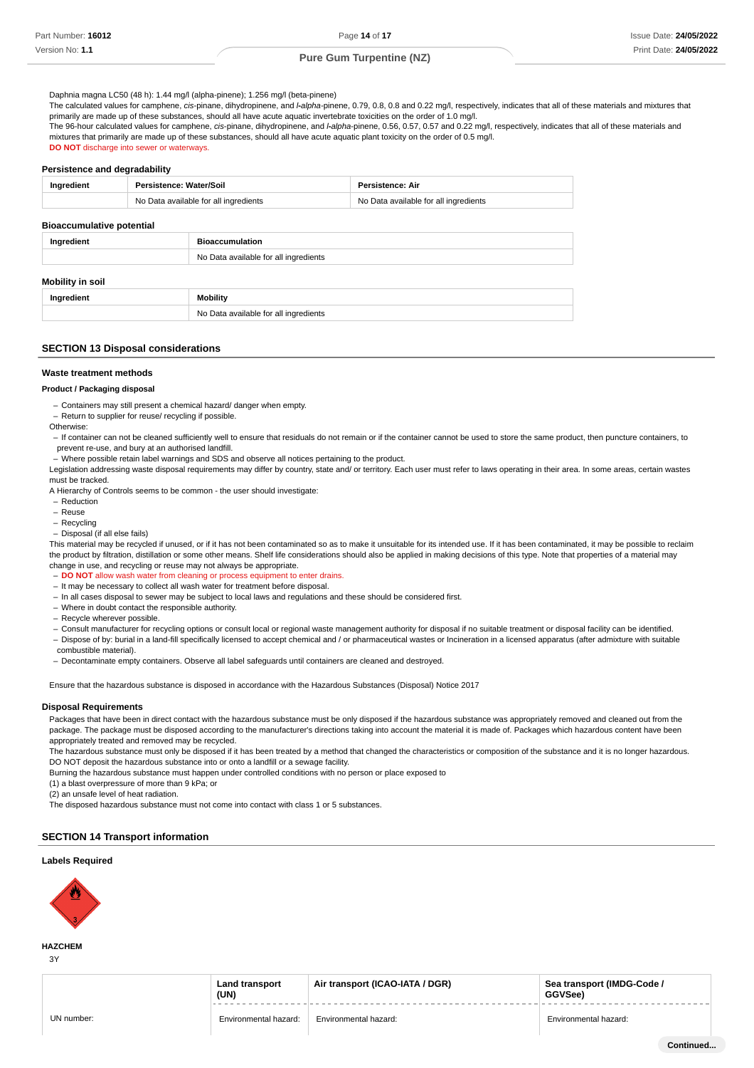Daphnia magna LC50 (48 h): 1.44 mg/l (alpha-pinene); 1.256 mg/l (beta-pinene)

The calculated values for camphene, cis-pinane, dihydropinene, and *I-alpha-*pinene, 0.79, 0.8, 0.8 and 0.22 mg/l, respectively, indicates that all of these materials and mixtures that primarily are made up of these substances, should all have acute aquatic invertebrate toxicities on the order of 1.0 mg/l.

The 96-hour calculated values for camphene, cis-pinane, dihydropinene, and *I-alpha*-pinene, 0.56, 0.57, 0.57 and 0.22 mg/l, respectively, indicates that all of these materials and mixtures that primarily are made up of these substances, should all have acute aquatic plant toxicity on the order of 0.5 mg/l. **DO NOT** discharge into sewer or waterways.

#### **Persistence and degradability**

| Ingredient | Persistence: Water/Soil               | Persistence: Air                      |
|------------|---------------------------------------|---------------------------------------|
|            | No Data available for all ingredients | No Data available for all ingredients |
|            |                                       |                                       |

## **Bioaccumulative potential**

| Ingredient       | <b>Bioaccumulation</b>                |  |
|------------------|---------------------------------------|--|
|                  | No Data available for all ingredients |  |
| Mobility in soil |                                       |  |

No Data available for all ingredients

# **SECTION 13 Disposal considerations**

**Ingredient Mobility** 

#### **Waste treatment methods**

#### **Product / Packaging disposal**

Containers may still present a chemical hazard/ danger when empty. –

- Return to supplier for reuse/ recycling if possible.
- **Otherwise**
- If container can not be cleaned sufficiently well to ensure that residuals do not remain or if the container cannot be used to store the same product, then puncture containers, to prevent re-use, and bury at an authorised landfill.
- Where possible retain label warnings and SDS and observe all notices pertaining to the product.

Legislation addressing waste disposal requirements may differ by country, state and/ or territory. Each user must refer to laws operating in their area. In some areas, certain wastes must be tracked.

A Hierarchy of Controls seems to be common - the user should investigate:

- Reduction –
- Reuse –
- Recycling –

- Disposal (if all else fails)

This material may be recycled if unused, or if it has not been contaminated so as to make it unsuitable for its intended use. If it has been contaminated, it may be possible to reclaim the product by filtration, distillation or some other means. Shelf life considerations should also be applied in making decisions of this type. Note that properties of a material may change in use, and recycling or reuse may not always be appropriate.

- **DO NOT** allow wash water from cleaning or process equipment to enter drains.

- It may be necessary to collect all wash water for treatment before disposal.
- In all cases disposal to sewer may be subject to local laws and regulations and these should be considered first.
- Where in doubt contact the responsible authority. –
- Recycle wherever possible.
- Consult manufacturer for recycling options or consult local or regional waste management authority for disposal if no suitable treatment or disposal facility can be identified.
- Dispose of by: burial in a land-fill specifically licensed to accept chemical and / or pharmaceutical wastes or Incineration in a licensed apparatus (after admixture with suitable
- combustible material).
- Decontaminate empty containers. Observe all label safeguards until containers are cleaned and destroyed.

Ensure that the hazardous substance is disposed in accordance with the Hazardous Substances (Disposal) Notice 2017

#### **Disposal Requirements**

Packages that have been in direct contact with the hazardous substance must be only disposed if the hazardous substance was appropriately removed and cleaned out from the package. The package must be disposed according to the manufacturer's directions taking into account the material it is made of. Packages which hazardous content have been appropriately treated and removed may be recycled.

The hazardous substance must only be disposed if it has been treated by a method that changed the characteristics or composition of the substance and it is no longer hazardous. DO NOT deposit the hazardous substance into or onto a landfill or a sewage facility.

Burning the hazardous substance must happen under controlled conditions with no person or place exposed to

(1) a blast overpressure of more than 9 kPa; or

(2) an unsafe level of heat radiation.

The disposed hazardous substance must not come into contact with class 1 or 5 substances.

## **SECTION 14 Transport information**

## **Labels Required**



## **HAZCHEM**

3Y

| <b>Land transport</b><br>(UN) | Air transport (ICAO-IATA / DGR) | Sea transport (IMDG-Code /<br>GGVSee) |
|-------------------------------|---------------------------------|---------------------------------------|
|                               |                                 |                                       |
| Environmental hazard:         | Environmental hazard:           | Environmental hazard:                 |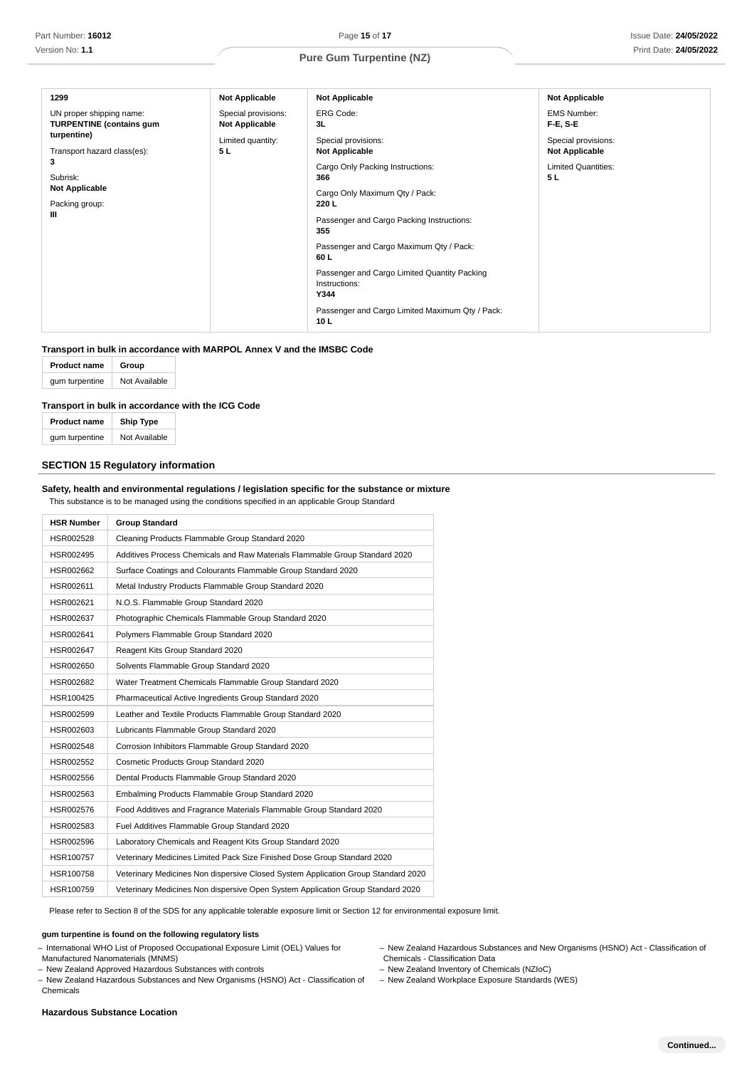| 1299                                                        | <b>Not Applicable</b>                        | <b>Not Applicable</b>                                                 | <b>Not Applicable</b>                        |
|-------------------------------------------------------------|----------------------------------------------|-----------------------------------------------------------------------|----------------------------------------------|
| UN proper shipping name:<br><b>TURPENTINE (contains gum</b> | Special provisions:<br><b>Not Applicable</b> | <b>ERG Code:</b><br>3L                                                | <b>EMS Number:</b><br><b>F-E, S-E</b>        |
| turpentine)<br>Transport hazard class(es):                  | Limited quantity:<br>5L                      | Special provisions:<br><b>Not Applicable</b>                          | Special provisions:<br><b>Not Applicable</b> |
| 3                                                           |                                              | Cargo Only Packing Instructions:                                      | <b>Limited Quantities:</b>                   |
| Subrisk:<br><b>Not Applicable</b>                           |                                              | 366                                                                   | 5 L                                          |
| Packing group:                                              |                                              | Cargo Only Maximum Qty / Pack:<br>220 L                               |                                              |
| Ш                                                           |                                              | Passenger and Cargo Packing Instructions:<br>355                      |                                              |
|                                                             |                                              | Passenger and Cargo Maximum Qty / Pack:<br>60 L                       |                                              |
|                                                             |                                              | Passenger and Cargo Limited Quantity Packing<br>Instructions:<br>Y344 |                                              |
|                                                             |                                              | Passenger and Cargo Limited Maximum Qty / Pack:<br>10 L               |                                              |

## **Transport in bulk in accordance with MARPOL Annex V and the IMSBC Code**

| <b>Product name</b> | Group         |  |
|---------------------|---------------|--|
| gum turpentine      | Not Available |  |

## **Transport in bulk in accordance with the ICG Code**

| <b>Product name</b> | <b>Ship Type</b> |  |
|---------------------|------------------|--|
| gum turpentine      | Not Available    |  |

## **SECTION 15 Regulatory information**

## **Safety, health and environmental regulations / legislation specific for the substance or mixture** This substance is to be managed using the conditions specified in an applicable Group Standard

| <b>HSR Number</b> | <b>Group Standard</b>                                                             |
|-------------------|-----------------------------------------------------------------------------------|
| HSR002528         | Cleaning Products Flammable Group Standard 2020                                   |
| HSR002495         | Additives Process Chemicals and Raw Materials Flammable Group Standard 2020       |
| HSR002662         | Surface Coatings and Colourants Flammable Group Standard 2020                     |
| HSR002611         | Metal Industry Products Flammable Group Standard 2020                             |
| HSR002621         | N.O.S. Flammable Group Standard 2020                                              |
| HSR002637         | Photographic Chemicals Flammable Group Standard 2020                              |
| HSR002641         | Polymers Flammable Group Standard 2020                                            |
| HSR002647         | Reagent Kits Group Standard 2020                                                  |
| HSR002650         | Solvents Flammable Group Standard 2020                                            |
| HSR002682         | Water Treatment Chemicals Flammable Group Standard 2020                           |
| HSR100425         | Pharmaceutical Active Ingredients Group Standard 2020                             |
| HSR002599         | Leather and Textile Products Flammable Group Standard 2020                        |
| HSR002603         | Lubricants Flammable Group Standard 2020                                          |
| HSR002548         | Corrosion Inhibitors Flammable Group Standard 2020                                |
| HSR002552         | Cosmetic Products Group Standard 2020                                             |
| HSR002556         | Dental Products Flammable Group Standard 2020                                     |
| HSR002563         | Embalming Products Flammable Group Standard 2020                                  |
| HSR002576         | Food Additives and Fragrance Materials Flammable Group Standard 2020              |
| HSR002583         | Fuel Additives Flammable Group Standard 2020                                      |
| HSR002596         | Laboratory Chemicals and Reagent Kits Group Standard 2020                         |
| HSR100757         | Veterinary Medicines Limited Pack Size Finished Dose Group Standard 2020          |
| HSR100758         | Veterinary Medicines Non dispersive Closed System Application Group Standard 2020 |
| HSR100759         | Veterinary Medicines Non dispersive Open System Application Group Standard 2020   |

Please refer to Section 8 of the SDS for any applicable tolerable exposure limit or Section 12 for environmental exposure limit.

## **gum turpentine is found on the following regulatory lists**

- International WHO List of Proposed Occupational Exposure Limit (OEL) Values for

Manufactured Nanomaterials (MNMS)

New Zealand Approved Hazardous Substances with controls –

– New Zealand Hazardous Substances and New Organisms (HSNO) Act - Classification of Chemicals

– New Zealand Hazardous Substances and New Organisms (HSNO) Act - Classification of Chemicals - Classification Data

- New Zealand Inventory of Chemicals (NZIoC)

- New Zealand Workplace Exposure Standards (WES)

## **Hazardous Substance Location**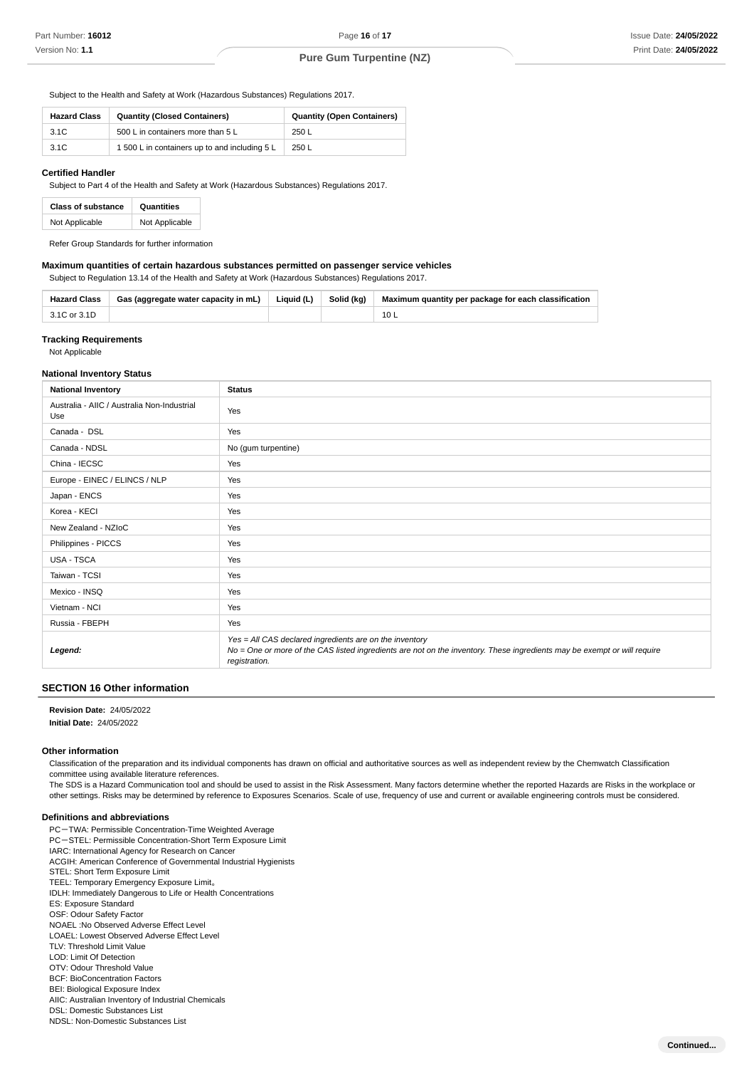Subject to the Health and Safety at Work (Hazardous Substances) Regulations 2017.

| <b>Hazard Class</b> | <b>Quantity (Closed Containers)</b>           | <b>Quantity (Open Containers)</b> |
|---------------------|-----------------------------------------------|-----------------------------------|
| 3.1C                | 500 L in containers more than 5 L             | 250L                              |
| 3.1C                | 1 500 L in containers up to and including 5 L | 250 L                             |

#### **Certified Handler**

Subject to Part 4 of the Health and Safety at Work (Hazardous Substances) Regulations 2017.

| <b>Class of substance</b> | Quantities     |  |
|---------------------------|----------------|--|
| Not Applicable            | Not Applicable |  |

Refer Group Standards for further information

## **Maximum quantities of certain hazardous substances permitted on passenger service vehicles**

Subject to Regulation 13.14 of the Health and Safety at Work (Hazardous Substances) Regulations 2017.

| <b>Hazard Class</b> | Gas (aggregate water capacity in mL) | Liquid (L) | Solid (kg) | Maximum quantity per package for each classification |
|---------------------|--------------------------------------|------------|------------|------------------------------------------------------|
| 3.1C or 3.1D        |                                      |            |            |                                                      |

## **Tracking Requirements**

Not Applicable

#### **National Inventory Status**

| <b>National Inventory</b>                          | <b>Status</b>                                                                                                                                                                                        |
|----------------------------------------------------|------------------------------------------------------------------------------------------------------------------------------------------------------------------------------------------------------|
| Australia - AIIC / Australia Non-Industrial<br>Use | Yes                                                                                                                                                                                                  |
| Canada - DSL                                       | Yes                                                                                                                                                                                                  |
| Canada - NDSL                                      | No (gum turpentine)                                                                                                                                                                                  |
| China - IECSC                                      | Yes                                                                                                                                                                                                  |
| Europe - EINEC / ELINCS / NLP                      | Yes                                                                                                                                                                                                  |
| Japan - ENCS                                       | Yes                                                                                                                                                                                                  |
| Korea - KECI                                       | Yes                                                                                                                                                                                                  |
| New Zealand - NZIoC                                | Yes                                                                                                                                                                                                  |
| Philippines - PICCS                                | Yes                                                                                                                                                                                                  |
| USA - TSCA                                         | Yes                                                                                                                                                                                                  |
| Taiwan - TCSI                                      | Yes                                                                                                                                                                                                  |
| Mexico - INSQ                                      | Yes                                                                                                                                                                                                  |
| Vietnam - NCI                                      | Yes                                                                                                                                                                                                  |
| Russia - FBEPH                                     | Yes                                                                                                                                                                                                  |
| Legend:                                            | Yes = All CAS declared ingredients are on the inventory<br>No = One or more of the CAS listed ingredients are not on the inventory. These ingredients may be exempt or will require<br>registration. |

## **SECTION 16 Other information**

**: Revision Date** 24/05/2022

**: Initial Date** 24/05/2022

## **Other information**

Classification of the preparation and its individual components has drawn on official and authoritative sources as well as independent review by the Chemwatch Classification committee using available literature references.

The SDS is a Hazard Communication tool and should be used to assist in the Risk Assessment. Many factors determine whether the reported Hazards are Risks in the workplace or other settings. Risks may be determined by reference to Exposures Scenarios. Scale of use, frequency of use and current or available engineering controls must be considered.

#### **Definitions and abbreviations**

- PC-TWA: Permissible Concentration-Time Weighted Average PC-STEL: Permissible Concentration-Short Term Exposure Limit
- IARC: International Agency for Research on Cancer
- ACGIH: American Conference of Governmental Industrial Hygienists
- STEL: Short Term Exposure Limit
- TEEL: Temporary Emergency Exposure Limit。
- IDLH: Immediately Dangerous to Life or Health Concentrations
- ES: Exposure Standard OSF: Odour Safety Factor
- NOAEL :No Observed Adverse Effect Level
- LOAEL: Lowest Observed Adverse Effect Level
- TLV: Threshold Limit Value
- LOD: Limit Of Detection
- OTV: Odour Threshold Value
- BCF: BioConcentration Factors
- BEI: Biological Exposure Index
- AIIC: Australian Inventory of Industrial Chemicals DSL: Domestic Substances List
- NDSL: Non-Domestic Substances List